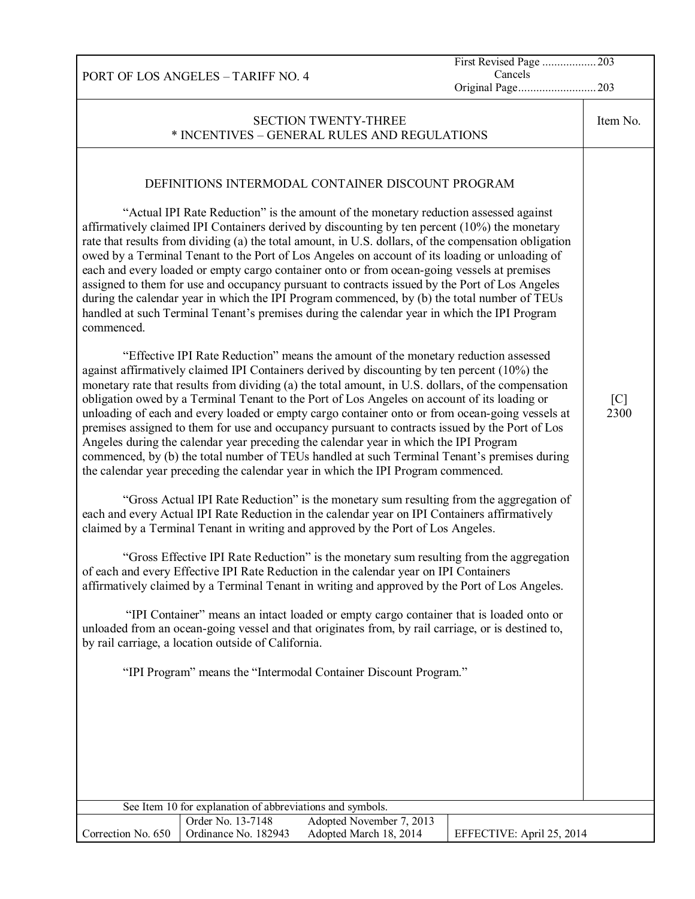PORT OF LOS ANGELES – TARIFF NO. 4 First Revised Page .................. 203 Cancels Original Page.......................... 203 SECTION TWENTY-THREE \* INCENTIVES – GENERAL RULES AND REGULATIONS Item No. DEFINITIONS INTERMODAL CONTAINER DISCOUNT PROGRAM "Actual IPI Rate Reduction" is the amount of the monetary reduction assessed against affirmatively claimed IPI Containers derived by discounting by ten percent (10%) the monetary rate that results from dividing (a) the total amount, in U.S. dollars, of the compensation obligation owed by a Terminal Tenant to the Port of Los Angeles on account of its loading or unloading of each and every loaded or empty cargo container onto or from ocean-going vessels at premises assigned to them for use and occupancy pursuant to contracts issued by the Port of Los Angeles during the calendar year in which the IPI Program commenced, by (b) the total number of TEUs handled at such Terminal Tenant's premises during the calendar year in which the IPI Program commenced. "Effective IPI Rate Reduction" means the amount of the monetary reduction assessed against affirmatively claimed IPI Containers derived by discounting by ten percent (10%) the monetary rate that results from dividing (a) the total amount, in U.S. dollars, of the compensation obligation owed by a Terminal Tenant to the Port of Los Angeles on account of its loading or unloading of each and every loaded or empty cargo container onto or from ocean-going vessels at premises assigned to them for use and occupancy pursuant to contracts issued by the Port of Los Angeles during the calendar year preceding the calendar year in which the IPI Program commenced, by (b) the total number of TEUs handled at such Terminal Tenant's premises during the calendar year preceding the calendar year in which the IPI Program commenced. "Gross Actual IPI Rate Reduction" is the monetary sum resulting from the aggregation of each and every Actual IPI Rate Reduction in the calendar year on IPI Containers affirmatively claimed by a Terminal Tenant in writing and approved by the Port of Los Angeles. "Gross Effective IPI Rate Reduction" is the monetary sum resulting from the aggregation of each and every Effective IPI Rate Reduction in the calendar year on IPI Containers affirmatively claimed by a Terminal Tenant in writing and approved by the Port of Los Angeles. "IPI Container" means an intact loaded or empty cargo container that is loaded onto or unloaded from an ocean-going vessel and that originates from, by rail carriage, or is destined to, by rail carriage, a location outside of California. "IPI Program" means the "Intermodal Container Discount Program." [C] 2300 See Item 10 for explanation of abbreviations and symbols. Correction No. 650 Order No. 13-7148 Adopted November 7, 2013 Ordinance No. 182943 Adopted March 18, 2014 EFFECTIVE: April 25, 2014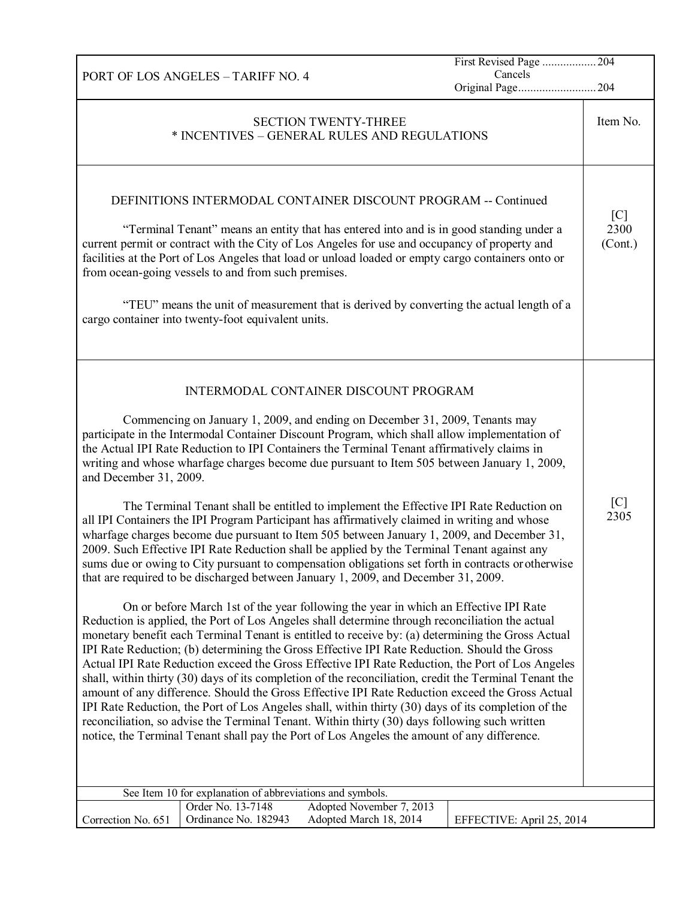|                                                                                                                                                                                                                                                                                                                                                                                                                                                                                                                                                                                                                                                                                                                                                                                                                                                                                                                                                                                                                                                                                                                                                                                                                                                                                                                                                                                                                                                                                                                                                                                                                                                                                                                                                                                                                                                                                                                                                                                                                                                           | First Revised Page  204<br>Cancels |                        |
|-----------------------------------------------------------------------------------------------------------------------------------------------------------------------------------------------------------------------------------------------------------------------------------------------------------------------------------------------------------------------------------------------------------------------------------------------------------------------------------------------------------------------------------------------------------------------------------------------------------------------------------------------------------------------------------------------------------------------------------------------------------------------------------------------------------------------------------------------------------------------------------------------------------------------------------------------------------------------------------------------------------------------------------------------------------------------------------------------------------------------------------------------------------------------------------------------------------------------------------------------------------------------------------------------------------------------------------------------------------------------------------------------------------------------------------------------------------------------------------------------------------------------------------------------------------------------------------------------------------------------------------------------------------------------------------------------------------------------------------------------------------------------------------------------------------------------------------------------------------------------------------------------------------------------------------------------------------------------------------------------------------------------------------------------------------|------------------------------------|------------------------|
| PORT OF LOS ANGELES - TARIFF NO. 4                                                                                                                                                                                                                                                                                                                                                                                                                                                                                                                                                                                                                                                                                                                                                                                                                                                                                                                                                                                                                                                                                                                                                                                                                                                                                                                                                                                                                                                                                                                                                                                                                                                                                                                                                                                                                                                                                                                                                                                                                        | Original Page204                   |                        |
| <b>SECTION TWENTY-THREE</b><br>* INCENTIVES - GENERAL RULES AND REGULATIONS                                                                                                                                                                                                                                                                                                                                                                                                                                                                                                                                                                                                                                                                                                                                                                                                                                                                                                                                                                                                                                                                                                                                                                                                                                                                                                                                                                                                                                                                                                                                                                                                                                                                                                                                                                                                                                                                                                                                                                               |                                    | Item No.               |
| DEFINITIONS INTERMODAL CONTAINER DISCOUNT PROGRAM -- Continued<br>"Terminal Tenant" means an entity that has entered into and is in good standing under a<br>current permit or contract with the City of Los Angeles for use and occupancy of property and<br>facilities at the Port of Los Angeles that load or unload loaded or empty cargo containers onto or<br>from ocean-going vessels to and from such premises.<br>"TEU" means the unit of measurement that is derived by converting the actual length of a<br>cargo container into twenty-foot equivalent units.                                                                                                                                                                                                                                                                                                                                                                                                                                                                                                                                                                                                                                                                                                                                                                                                                                                                                                                                                                                                                                                                                                                                                                                                                                                                                                                                                                                                                                                                                 |                                    | [C]<br>2300<br>(Cont.) |
| INTERMODAL CONTAINER DISCOUNT PROGRAM<br>Commencing on January 1, 2009, and ending on December 31, 2009, Tenants may<br>participate in the Intermodal Container Discount Program, which shall allow implementation of<br>the Actual IPI Rate Reduction to IPI Containers the Terminal Tenant affirmatively claims in<br>writing and whose wharfage charges become due pursuant to Item 505 between January 1, 2009,<br>and December 31, 2009.<br>The Terminal Tenant shall be entitled to implement the Effective IPI Rate Reduction on<br>all IPI Containers the IPI Program Participant has affirmatively claimed in writing and whose<br>wharfage charges become due pursuant to Item 505 between January 1, 2009, and December 31,<br>2009. Such Effective IPI Rate Reduction shall be applied by the Terminal Tenant against any<br>sums due or owing to City pursuant to compensation obligations set forth in contracts or otherwise<br>that are required to be discharged between January 1, 2009, and December 31, 2009.<br>On or before March 1st of the year following the year in which an Effective IPI Rate<br>Reduction is applied, the Port of Los Angeles shall determine through reconciliation the actual<br>monetary benefit each Terminal Tenant is entitled to receive by: (a) determining the Gross Actual<br>IPI Rate Reduction; (b) determining the Gross Effective IPI Rate Reduction. Should the Gross<br>Actual IPI Rate Reduction exceed the Gross Effective IPI Rate Reduction, the Port of Los Angeles<br>shall, within thirty (30) days of its completion of the reconciliation, credit the Terminal Tenant the<br>amount of any difference. Should the Gross Effective IPI Rate Reduction exceed the Gross Actual<br>IPI Rate Reduction, the Port of Los Angeles shall, within thirty (30) days of its completion of the<br>reconciliation, so advise the Terminal Tenant. Within thirty (30) days following such written<br>notice, the Terminal Tenant shall pay the Port of Los Angeles the amount of any difference. |                                    | [C]<br>2305            |
| See Item 10 for explanation of abbreviations and symbols.<br>Adopted November 7, 2013<br>Order No. 13-7148                                                                                                                                                                                                                                                                                                                                                                                                                                                                                                                                                                                                                                                                                                                                                                                                                                                                                                                                                                                                                                                                                                                                                                                                                                                                                                                                                                                                                                                                                                                                                                                                                                                                                                                                                                                                                                                                                                                                                |                                    |                        |
| Ordinance No. 182943<br>Adopted March 18, 2014<br>Correction No. 651                                                                                                                                                                                                                                                                                                                                                                                                                                                                                                                                                                                                                                                                                                                                                                                                                                                                                                                                                                                                                                                                                                                                                                                                                                                                                                                                                                                                                                                                                                                                                                                                                                                                                                                                                                                                                                                                                                                                                                                      | EFFECTIVE: April 25, 2014          |                        |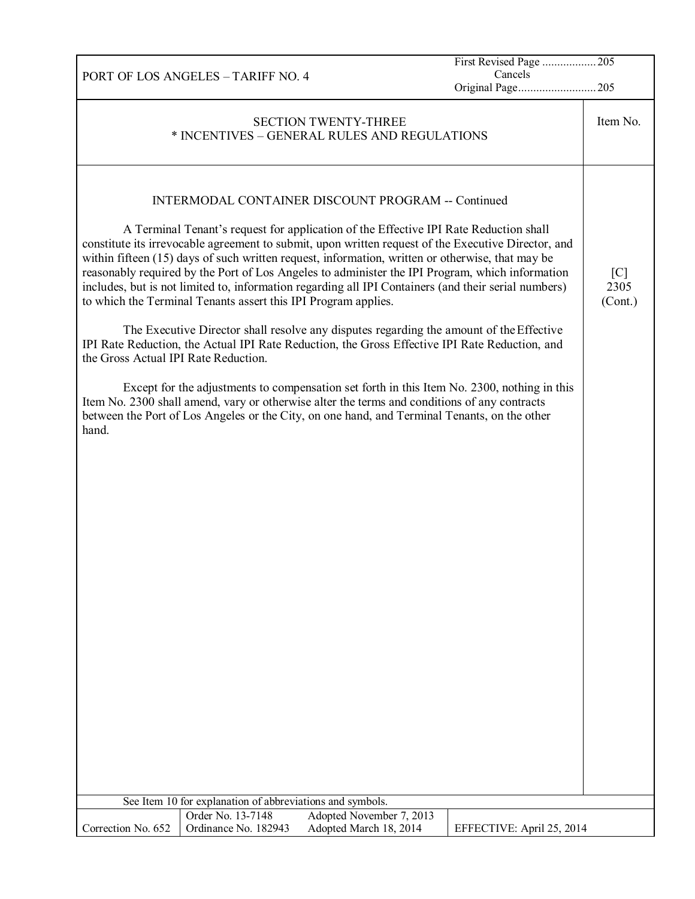| PORT OF LOS ANGELES - TARIFF NO. 4                                                                   | Cancels                   |          |
|------------------------------------------------------------------------------------------------------|---------------------------|----------|
|                                                                                                      | Original Page205          |          |
|                                                                                                      |                           |          |
|                                                                                                      |                           |          |
| <b>SECTION TWENTY-THREE</b>                                                                          |                           | Item No. |
| * INCENTIVES - GENERAL RULES AND REGULATIONS                                                         |                           |          |
|                                                                                                      |                           |          |
|                                                                                                      |                           |          |
|                                                                                                      |                           |          |
|                                                                                                      |                           |          |
|                                                                                                      |                           |          |
| <b>INTERMODAL CONTAINER DISCOUNT PROGRAM -- Continued</b>                                            |                           |          |
|                                                                                                      |                           |          |
| A Terminal Tenant's request for application of the Effective IPI Rate Reduction shall                |                           |          |
|                                                                                                      |                           |          |
| constitute its irrevocable agreement to submit, upon written request of the Executive Director, and  |                           |          |
| within fifteen (15) days of such written request, information, written or otherwise, that may be     |                           |          |
| reasonably required by the Port of Los Angeles to administer the IPI Program, which information      |                           | [C]      |
| includes, but is not limited to, information regarding all IPI Containers (and their serial numbers) |                           | 2305     |
|                                                                                                      |                           |          |
| to which the Terminal Tenants assert this IPI Program applies.                                       |                           | (Cont.)  |
|                                                                                                      |                           |          |
| The Executive Director shall resolve any disputes regarding the amount of the Effective              |                           |          |
| IPI Rate Reduction, the Actual IPI Rate Reduction, the Gross Effective IPI Rate Reduction, and       |                           |          |
|                                                                                                      |                           |          |
| the Gross Actual IPI Rate Reduction.                                                                 |                           |          |
|                                                                                                      |                           |          |
| Except for the adjustments to compensation set forth in this Item No. 2300, nothing in this          |                           |          |
| Item No. 2300 shall amend, vary or otherwise alter the terms and conditions of any contracts         |                           |          |
|                                                                                                      |                           |          |
| between the Port of Los Angeles or the City, on one hand, and Terminal Tenants, on the other         |                           |          |
| hand.                                                                                                |                           |          |
|                                                                                                      |                           |          |
|                                                                                                      |                           |          |
|                                                                                                      |                           |          |
|                                                                                                      |                           |          |
|                                                                                                      |                           |          |
|                                                                                                      |                           |          |
|                                                                                                      |                           |          |
|                                                                                                      |                           |          |
|                                                                                                      |                           |          |
|                                                                                                      |                           |          |
|                                                                                                      |                           |          |
|                                                                                                      |                           |          |
|                                                                                                      |                           |          |
|                                                                                                      |                           |          |
|                                                                                                      |                           |          |
|                                                                                                      |                           |          |
|                                                                                                      |                           |          |
|                                                                                                      |                           |          |
|                                                                                                      |                           |          |
|                                                                                                      |                           |          |
|                                                                                                      |                           |          |
|                                                                                                      |                           |          |
|                                                                                                      |                           |          |
|                                                                                                      |                           |          |
|                                                                                                      |                           |          |
|                                                                                                      |                           |          |
|                                                                                                      |                           |          |
|                                                                                                      |                           |          |
|                                                                                                      |                           |          |
|                                                                                                      |                           |          |
|                                                                                                      |                           |          |
| See Item 10 for explanation of abbreviations and symbols.                                            |                           |          |
| Adopted November 7, 2013<br>Order No. 13-7148                                                        |                           |          |
| Ordinance No. 182943<br>Correction No. 652<br>Adopted March 18, 2014                                 | EFFECTIVE: April 25, 2014 |          |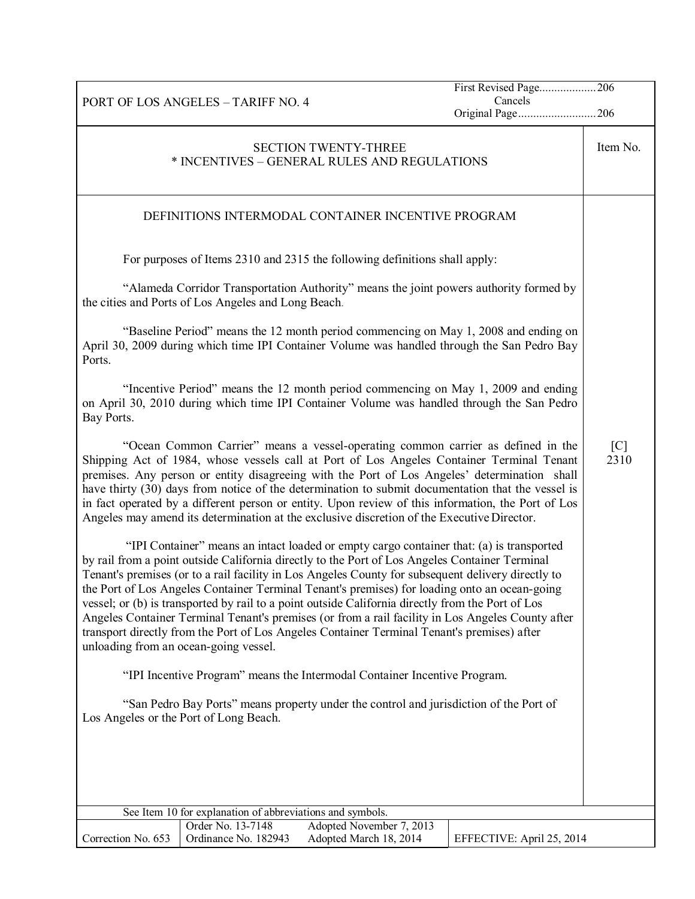PORT OF LOS ANGELES – TARIFF NO. 4 First Revised Page...................206 Cancels Original Page..........................206 SECTION TWENTY-THREE \* INCENTIVES – GENERAL RULES AND REGULATIONS Item No. DEFINITIONS INTERMODAL CONTAINER INCENTIVE PROGRAM For purposes of Items 2310 and 2315 the following definitions shall apply: "Alameda Corridor Transportation Authority" means the joint powers authority formed by the cities and Ports of Los Angeles and Long Beach. "Baseline Period" means the 12 month period commencing on May 1, 2008 and ending on April 30, 2009 during which time IPI Container Volume was handled through the San Pedro Bay Ports. "Incentive Period" means the 12 month period commencing on May 1, 2009 and ending on April 30, 2010 during which time IPI Container Volume was handled through the San Pedro Bay Ports. "Ocean Common Carrier" means a vessel-operating common carrier as defined in the Shipping Act of 1984, whose vessels call at Port of Los Angeles Container Terminal Tenant premises. Any person or entity disagreeing with the Port of Los Angeles' determination shall have thirty (30) days from notice of the determination to submit documentation that the vessel is in fact operated by a different person or entity. Upon review of this information, the Port of Los Angeles may amend its determination at the exclusive discretion of the Executive Director. "IPI Container" means an intact loaded or empty cargo container that: (a) is transported by rail from a point outside California directly to the Port of Los Angeles Container Terminal Tenant's premises (or to a rail facility in Los Angeles County for subsequent delivery directly to the Port of Los Angeles Container Terminal Tenant's premises) for loading onto an ocean-going vessel; or (b) is transported by rail to a point outside California directly from the Port of Los Angeles Container Terminal Tenant's premises (or from a rail facility in Los Angeles County after transport directly from the Port of Los Angeles Container Terminal Tenant's premises) after unloading from an ocean-going vessel. "IPI Incentive Program" means the Intermodal Container Incentive Program. "San Pedro Bay Ports" means property under the control and jurisdiction of the Port of Los Angeles or the Port of Long Beach.  $\lceil C \rceil$ 2310 See Item 10 for explanation of abbreviations and symbols. Correction No. 653 Order No. 13-7148 Adopted November 7, 2013 Ordinance No. 182943 Adopted March 18, 2014 EFFECTIVE: April 25, 2014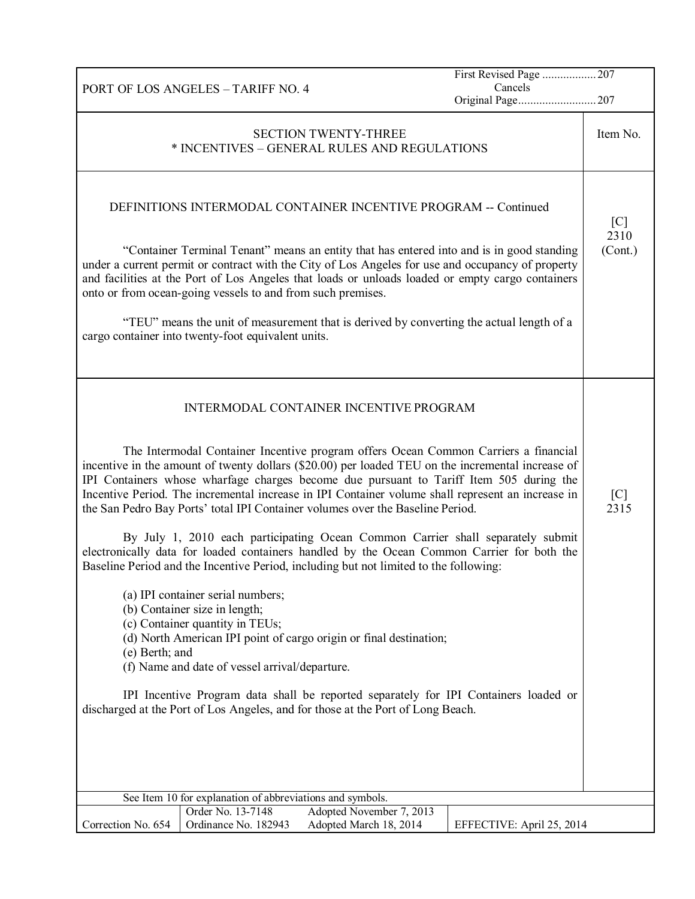|                    |                                                                                                                                                         |                                                                                       | First Revised Page  207<br>Cancels                                                                                                                                                                                                                                                                                                                                                       |             |  |
|--------------------|---------------------------------------------------------------------------------------------------------------------------------------------------------|---------------------------------------------------------------------------------------|------------------------------------------------------------------------------------------------------------------------------------------------------------------------------------------------------------------------------------------------------------------------------------------------------------------------------------------------------------------------------------------|-------------|--|
|                    | PORT OF LOS ANGELES - TARIFF NO. 4<br>Original Page207                                                                                                  |                                                                                       |                                                                                                                                                                                                                                                                                                                                                                                          |             |  |
|                    | <b>SECTION TWENTY-THREE</b><br>* INCENTIVES - GENERAL RULES AND REGULATIONS                                                                             |                                                                                       |                                                                                                                                                                                                                                                                                                                                                                                          |             |  |
|                    |                                                                                                                                                         | DEFINITIONS INTERMODAL CONTAINER INCENTIVE PROGRAM -- Continued                       |                                                                                                                                                                                                                                                                                                                                                                                          | [C]<br>2310 |  |
|                    | onto or from ocean-going vessels to and from such premises.                                                                                             |                                                                                       | "Container Terminal Tenant" means an entity that has entered into and is in good standing<br>under a current permit or contract with the City of Los Angeles for use and occupancy of property<br>and facilities at the Port of Los Angeles that loads or unloads loaded or empty cargo containers                                                                                       | (Cont.)     |  |
|                    | cargo container into twenty-foot equivalent units.                                                                                                      |                                                                                       | "TEU" means the unit of measurement that is derived by converting the actual length of a                                                                                                                                                                                                                                                                                                 |             |  |
|                    |                                                                                                                                                         | <b>INTERMODAL CONTAINER INCENTIVE PROGRAM</b>                                         |                                                                                                                                                                                                                                                                                                                                                                                          |             |  |
|                    |                                                                                                                                                         | the San Pedro Bay Ports' total IPI Container volumes over the Baseline Period.        | The Intermodal Container Incentive program offers Ocean Common Carriers a financial<br>incentive in the amount of twenty dollars (\$20.00) per loaded TEU on the incremental increase of<br>IPI Containers whose wharfage charges become due pursuant to Tariff Item 505 during the<br>Incentive Period. The incremental increase in IPI Container volume shall represent an increase in | [C]<br>2315 |  |
|                    |                                                                                                                                                         | Baseline Period and the Incentive Period, including but not limited to the following: | By July 1, 2010 each participating Ocean Common Carrier shall separately submit<br>electronically data for loaded containers handled by the Ocean Common Carrier for both the                                                                                                                                                                                                            |             |  |
| (e) Berth; and     | (a) IPI container serial numbers;<br>(b) Container size in length;<br>(c) Container quantity in TEUs;<br>(f) Name and date of vessel arrival/departure. | (d) North American IPI point of cargo origin or final destination;                    |                                                                                                                                                                                                                                                                                                                                                                                          |             |  |
|                    |                                                                                                                                                         | discharged at the Port of Los Angeles, and for those at the Port of Long Beach.       | IPI Incentive Program data shall be reported separately for IPI Containers loaded or                                                                                                                                                                                                                                                                                                     |             |  |
|                    |                                                                                                                                                         |                                                                                       |                                                                                                                                                                                                                                                                                                                                                                                          |             |  |
|                    | See Item 10 for explanation of abbreviations and symbols.                                                                                               |                                                                                       |                                                                                                                                                                                                                                                                                                                                                                                          |             |  |
| Correction No. 654 | Order No. 13-7148<br>Ordinance No. 182943                                                                                                               | Adopted November 7, 2013<br>Adopted March 18, 2014                                    | EFFECTIVE: April 25, 2014                                                                                                                                                                                                                                                                                                                                                                |             |  |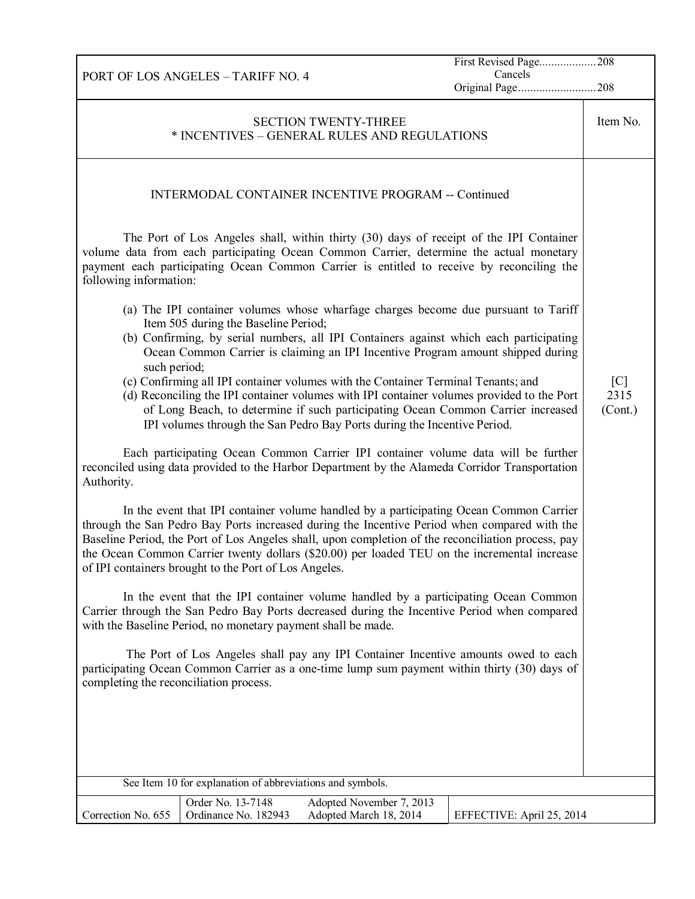First Revised Page...................208 Cancels

Original Page..........................208

PORT OF LOS ANGELES – TARIFF NO. 4 SECTION TWENTY-THREE \* INCENTIVES – GENERAL RULES AND REGULATIONS INTERMODAL CONTAINER INCENTIVE PROGRAM -- Continued The Port of Los Angeles shall, within thirty (30) days of receipt of the IPI Container volume data from each participating Ocean Common Carrier, determine the actual monetary payment each participating Ocean Common Carrier is entitled to receive by reconciling the following information: (a) The IPI container volumes whose wharfage charges become due pursuant to Tariff Item 505 during the Baseline Period; (b) Confirming, by serial numbers, all IPI Containers against which each participating Ocean Common Carrier is claiming an IPI Incentive Program amount shipped during

- such period; (c) Confirming all IPI container volumes with the Container Terminal Tenants; and
- (d) Reconciling the IPI container volumes with IPI container volumes provided to the Port of Long Beach, to determine if such participating Ocean Common Carrier increased IPI volumes through the San Pedro Bay Ports during the Incentive Period.

Each participating Ocean Common Carrier IPI container volume data will be further reconciled using data provided to the Harbor Department by the Alameda Corridor Transportation Authority.

In the event that IPI container volume handled by a participating Ocean Common Carrier through the San Pedro Bay Ports increased during the Incentive Period when compared with the Baseline Period, the Port of Los Angeles shall, upon completion of the reconciliation process, pay the Ocean Common Carrier twenty dollars (\$20.00) per loaded TEU on the incremental increase of IPI containers brought to the Port of Los Angeles.

In the event that the IPI container volume handled by a participating Ocean Common Carrier through the San Pedro Bay Ports decreased during the Incentive Period when compared with the Baseline Period, no monetary payment shall be made.

The Port of Los Angeles shall pay any IPI Container Incentive amounts owed to each participating Ocean Common Carrier as a one-time lump sum payment within thirty (30) days of completing the reconciliation process.

|                    | See Item 10 for explanation of abbreviations and symbols. |                                                    |                           |
|--------------------|-----------------------------------------------------------|----------------------------------------------------|---------------------------|
| Correction No. 655 | Order No. 13-7148<br>Ordinance No. 182943                 | Adopted November 7, 2013<br>Adopted March 18, 2014 | EFFECTIVE: April 25, 2014 |

Item No.

 $[{\rm C}]$ 2315 (Cont.)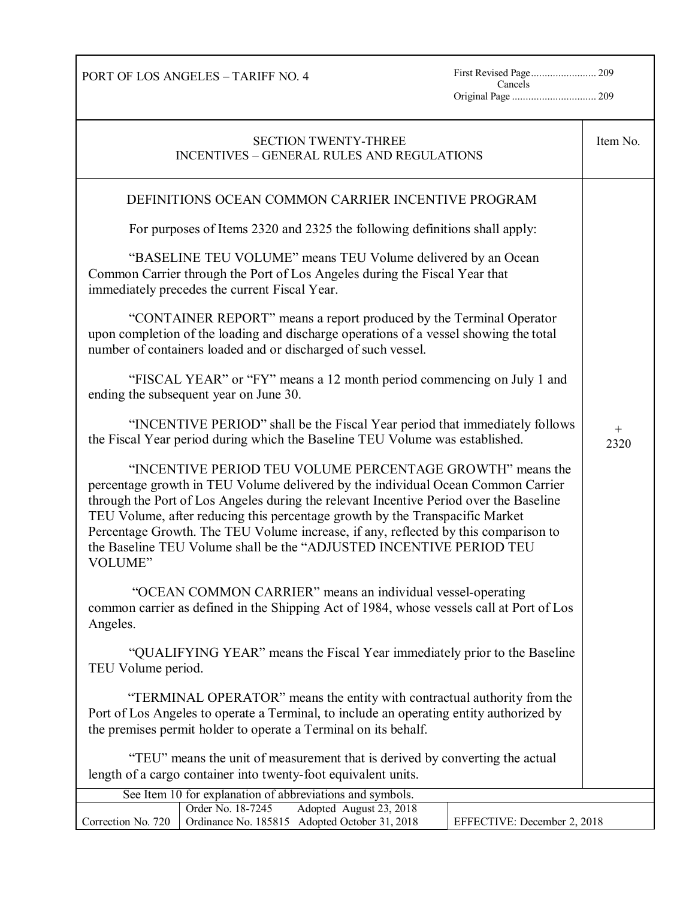PORT OF LOS ANGELES – TARIFF NO. 4

Cancels Original Page ............................... 209

| <b>SECTION TWENTY-THREE</b><br><b>INCENTIVES - GENERAL RULES AND REGULATIONS</b>                                                                                                                                                                                                                                                                                                                                                                                                                 | Item No.                |
|--------------------------------------------------------------------------------------------------------------------------------------------------------------------------------------------------------------------------------------------------------------------------------------------------------------------------------------------------------------------------------------------------------------------------------------------------------------------------------------------------|-------------------------|
| DEFINITIONS OCEAN COMMON CARRIER INCENTIVE PROGRAM                                                                                                                                                                                                                                                                                                                                                                                                                                               |                         |
| For purposes of Items 2320 and 2325 the following definitions shall apply:                                                                                                                                                                                                                                                                                                                                                                                                                       |                         |
| "BASELINE TEU VOLUME" means TEU Volume delivered by an Ocean<br>Common Carrier through the Port of Los Angeles during the Fiscal Year that<br>immediately precedes the current Fiscal Year.                                                                                                                                                                                                                                                                                                      |                         |
| "CONTAINER REPORT" means a report produced by the Terminal Operator<br>upon completion of the loading and discharge operations of a vessel showing the total<br>number of containers loaded and or discharged of such vessel.                                                                                                                                                                                                                                                                    |                         |
| "FISCAL YEAR" or "FY" means a 12 month period commencing on July 1 and<br>ending the subsequent year on June 30.                                                                                                                                                                                                                                                                                                                                                                                 |                         |
| "INCENTIVE PERIOD" shall be the Fiscal Year period that immediately follows<br>the Fiscal Year period during which the Baseline TEU Volume was established.                                                                                                                                                                                                                                                                                                                                      | $\! + \!\!\!\!$<br>2320 |
| "INCENTIVE PERIOD TEU VOLUME PERCENTAGE GROWTH" means the<br>percentage growth in TEU Volume delivered by the individual Ocean Common Carrier<br>through the Port of Los Angeles during the relevant Incentive Period over the Baseline<br>TEU Volume, after reducing this percentage growth by the Transpacific Market<br>Percentage Growth. The TEU Volume increase, if any, reflected by this comparison to<br>the Baseline TEU Volume shall be the "ADJUSTED INCENTIVE PERIOD TEU<br>VOLUME" |                         |
| "OCEAN COMMON CARRIER" means an individual vessel-operating<br>common carrier as defined in the Shipping Act of 1984, whose vessels call at Port of Los<br>Angeles.                                                                                                                                                                                                                                                                                                                              |                         |
| "QUALIFYING YEAR" means the Fiscal Year immediately prior to the Baseline<br>TEU Volume period.                                                                                                                                                                                                                                                                                                                                                                                                  |                         |
| "TERMINAL OPERATOR" means the entity with contractual authority from the<br>Port of Los Angeles to operate a Terminal, to include an operating entity authorized by<br>the premises permit holder to operate a Terminal on its behalf.                                                                                                                                                                                                                                                           |                         |
| "TEU" means the unit of measurement that is derived by converting the actual<br>length of a cargo container into twenty-foot equivalent units.                                                                                                                                                                                                                                                                                                                                                   |                         |
| See Item 10 for explanation of abbreviations and symbols.                                                                                                                                                                                                                                                                                                                                                                                                                                        |                         |
| Order No. 18-7245<br>Adopted August 23, 2018<br>Correction No. 720<br>Ordinance No. 185815 Adopted October 31, 2018<br>EFFECTIVE: December 2, 2018                                                                                                                                                                                                                                                                                                                                               |                         |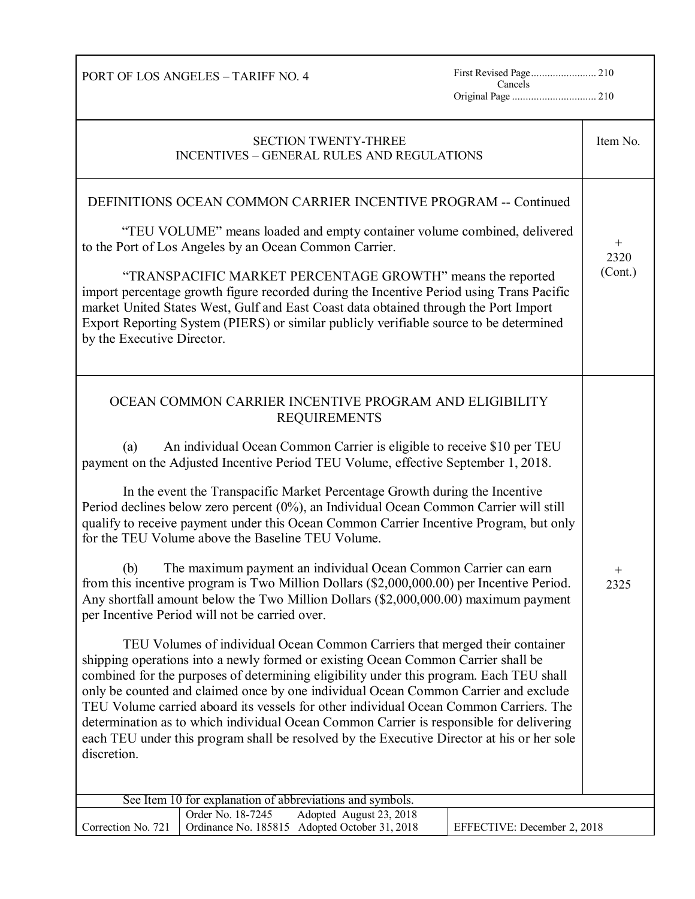Cancels Original Page ............................... 210

| <b>SECTION TWENTY-THREE</b><br><b>INCENTIVES - GENERAL RULES AND REGULATIONS</b>                                                                                                                                                                                                                                                                                                                                                                                                                                                                                                                                                                                                                                                                                                                                                                                                                                                                                                                                                                                                                                                                                                                                                                                                                                                                                                                                                                                                                                                                   | Item No.                    |
|----------------------------------------------------------------------------------------------------------------------------------------------------------------------------------------------------------------------------------------------------------------------------------------------------------------------------------------------------------------------------------------------------------------------------------------------------------------------------------------------------------------------------------------------------------------------------------------------------------------------------------------------------------------------------------------------------------------------------------------------------------------------------------------------------------------------------------------------------------------------------------------------------------------------------------------------------------------------------------------------------------------------------------------------------------------------------------------------------------------------------------------------------------------------------------------------------------------------------------------------------------------------------------------------------------------------------------------------------------------------------------------------------------------------------------------------------------------------------------------------------------------------------------------------------|-----------------------------|
| DEFINITIONS OCEAN COMMON CARRIER INCENTIVE PROGRAM -- Continued<br>"TEU VOLUME" means loaded and empty container volume combined, delivered<br>to the Port of Los Angeles by an Ocean Common Carrier.<br>"TRANSPACIFIC MARKET PERCENTAGE GROWTH" means the reported<br>import percentage growth figure recorded during the Incentive Period using Trans Pacific<br>market United States West, Gulf and East Coast data obtained through the Port Import<br>Export Reporting System (PIERS) or similar publicly verifiable source to be determined<br>by the Executive Director.                                                                                                                                                                                                                                                                                                                                                                                                                                                                                                                                                                                                                                                                                                                                                                                                                                                                                                                                                                    | $^{+}$<br>2320<br>(Cont.)   |
| OCEAN COMMON CARRIER INCENTIVE PROGRAM AND ELIGIBILITY<br><b>REQUIREMENTS</b><br>An individual Ocean Common Carrier is eligible to receive \$10 per TEU<br>(a)<br>payment on the Adjusted Incentive Period TEU Volume, effective September 1, 2018.<br>In the event the Transpacific Market Percentage Growth during the Incentive<br>Period declines below zero percent (0%), an Individual Ocean Common Carrier will still<br>qualify to receive payment under this Ocean Common Carrier Incentive Program, but only<br>for the TEU Volume above the Baseline TEU Volume.<br>The maximum payment an individual Ocean Common Carrier can earn<br>(b)<br>from this incentive program is Two Million Dollars (\$2,000,000.00) per Incentive Period.<br>Any shortfall amount below the Two Million Dollars (\$2,000,000.00) maximum payment<br>per Incentive Period will not be carried over.<br>TEU Volumes of individual Ocean Common Carriers that merged their container<br>shipping operations into a newly formed or existing Ocean Common Carrier shall be<br>combined for the purposes of determining eligibility under this program. Each TEU shall<br>only be counted and claimed once by one individual Ocean Common Carrier and exclude<br>TEU Volume carried aboard its vessels for other individual Ocean Common Carriers. The<br>determination as to which individual Ocean Common Carrier is responsible for delivering<br>each TEU under this program shall be resolved by the Executive Director at his or her sole<br>discretion. | $^{+}$<br>2325              |
| See Item 10 for explanation of abbreviations and symbols.                                                                                                                                                                                                                                                                                                                                                                                                                                                                                                                                                                                                                                                                                                                                                                                                                                                                                                                                                                                                                                                                                                                                                                                                                                                                                                                                                                                                                                                                                          |                             |
| Order No. 18-7245<br>Adopted August 23, 2018<br>Correction No. 721<br>Ordinance No. 185815 Adopted October 31, 2018                                                                                                                                                                                                                                                                                                                                                                                                                                                                                                                                                                                                                                                                                                                                                                                                                                                                                                                                                                                                                                                                                                                                                                                                                                                                                                                                                                                                                                | EFFECTIVE: December 2, 2018 |

PORT OF LOS ANGELES – TARIFF NO. 4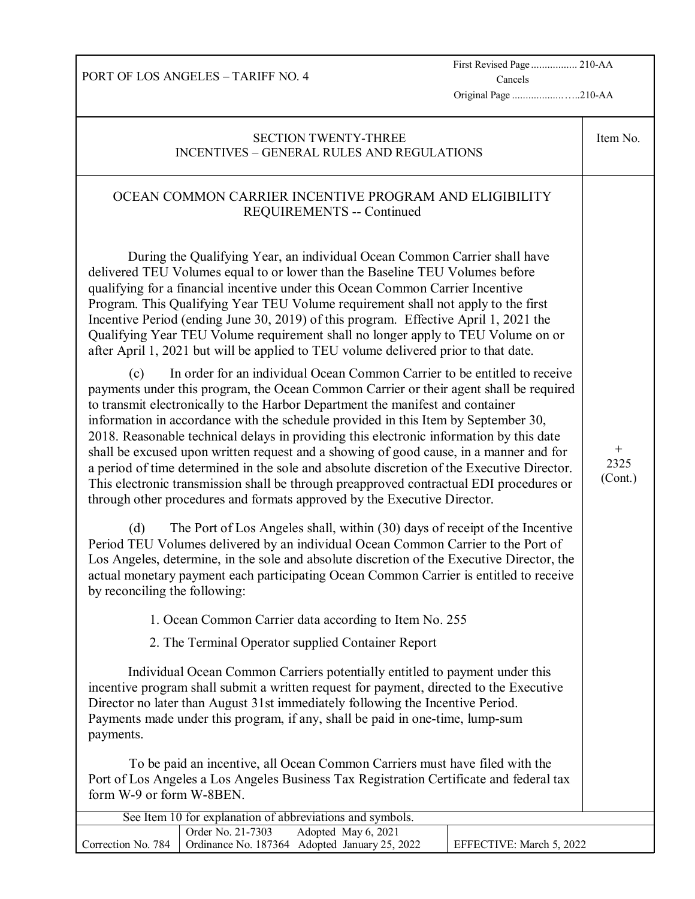First Revised Page ................. 210-AA Cancels

Original Page ...................…..210-AA

|                                                                                                                                                                                                                                                                                                                                                                                                                                                                                                                                                                                                                                                                                                                                                                                                              | <b>SECTION TWENTY-THREE</b><br><b>INCENTIVES - GENERAL RULES AND REGULATIONS</b>                                                                                                                                                                                                                                                                                                                                                                                                                                                                                                                    |                          | Item No. |
|--------------------------------------------------------------------------------------------------------------------------------------------------------------------------------------------------------------------------------------------------------------------------------------------------------------------------------------------------------------------------------------------------------------------------------------------------------------------------------------------------------------------------------------------------------------------------------------------------------------------------------------------------------------------------------------------------------------------------------------------------------------------------------------------------------------|-----------------------------------------------------------------------------------------------------------------------------------------------------------------------------------------------------------------------------------------------------------------------------------------------------------------------------------------------------------------------------------------------------------------------------------------------------------------------------------------------------------------------------------------------------------------------------------------------------|--------------------------|----------|
|                                                                                                                                                                                                                                                                                                                                                                                                                                                                                                                                                                                                                                                                                                                                                                                                              | OCEAN COMMON CARRIER INCENTIVE PROGRAM AND ELIGIBILITY<br><b>REQUIREMENTS -- Continued</b>                                                                                                                                                                                                                                                                                                                                                                                                                                                                                                          |                          |          |
|                                                                                                                                                                                                                                                                                                                                                                                                                                                                                                                                                                                                                                                                                                                                                                                                              | During the Qualifying Year, an individual Ocean Common Carrier shall have<br>delivered TEU Volumes equal to or lower than the Baseline TEU Volumes before<br>qualifying for a financial incentive under this Ocean Common Carrier Incentive<br>Program. This Qualifying Year TEU Volume requirement shall not apply to the first<br>Incentive Period (ending June 30, 2019) of this program. Effective April 1, 2021 the<br>Qualifying Year TEU Volume requirement shall no longer apply to TEU Volume on or<br>after April 1, 2021 but will be applied to TEU volume delivered prior to that date. |                          |          |
| In order for an individual Ocean Common Carrier to be entitled to receive<br>(c)<br>payments under this program, the Ocean Common Carrier or their agent shall be required<br>to transmit electronically to the Harbor Department the manifest and container<br>information in accordance with the schedule provided in this Item by September 30,<br>2018. Reasonable technical delays in providing this electronic information by this date<br>shall be excused upon written request and a showing of good cause, in a manner and for<br>a period of time determined in the sole and absolute discretion of the Executive Director.<br>This electronic transmission shall be through preapproved contractual EDI procedures or<br>through other procedures and formats approved by the Executive Director. |                                                                                                                                                                                                                                                                                                                                                                                                                                                                                                                                                                                                     |                          |          |
| (d)<br>by reconciling the following:                                                                                                                                                                                                                                                                                                                                                                                                                                                                                                                                                                                                                                                                                                                                                                         | The Port of Los Angeles shall, within (30) days of receipt of the Incentive<br>Period TEU Volumes delivered by an individual Ocean Common Carrier to the Port of<br>Los Angeles, determine, in the sole and absolute discretion of the Executive Director, the<br>actual monetary payment each participating Ocean Common Carrier is entitled to receive                                                                                                                                                                                                                                            |                          |          |
|                                                                                                                                                                                                                                                                                                                                                                                                                                                                                                                                                                                                                                                                                                                                                                                                              | 1. Ocean Common Carrier data according to Item No. 255                                                                                                                                                                                                                                                                                                                                                                                                                                                                                                                                              |                          |          |
|                                                                                                                                                                                                                                                                                                                                                                                                                                                                                                                                                                                                                                                                                                                                                                                                              | 2. The Terminal Operator supplied Container Report                                                                                                                                                                                                                                                                                                                                                                                                                                                                                                                                                  |                          |          |
| payments.                                                                                                                                                                                                                                                                                                                                                                                                                                                                                                                                                                                                                                                                                                                                                                                                    | Individual Ocean Common Carriers potentially entitled to payment under this<br>incentive program shall submit a written request for payment, directed to the Executive<br>Director no later than August 31st immediately following the Incentive Period.<br>Payments made under this program, if any, shall be paid in one-time, lump-sum                                                                                                                                                                                                                                                           |                          |          |
| form W-9 or form W-8BEN.                                                                                                                                                                                                                                                                                                                                                                                                                                                                                                                                                                                                                                                                                                                                                                                     | To be paid an incentive, all Ocean Common Carriers must have filed with the<br>Port of Los Angeles a Los Angeles Business Tax Registration Certificate and federal tax                                                                                                                                                                                                                                                                                                                                                                                                                              |                          |          |
|                                                                                                                                                                                                                                                                                                                                                                                                                                                                                                                                                                                                                                                                                                                                                                                                              | See Item 10 for explanation of abbreviations and symbols.                                                                                                                                                                                                                                                                                                                                                                                                                                                                                                                                           |                          |          |
| Correction No. 784                                                                                                                                                                                                                                                                                                                                                                                                                                                                                                                                                                                                                                                                                                                                                                                           | Order No. 21-7303<br>Adopted May 6, 2021<br>Ordinance No. 187364 Adopted January 25, 2022                                                                                                                                                                                                                                                                                                                                                                                                                                                                                                           | EFFECTIVE: March 5, 2022 |          |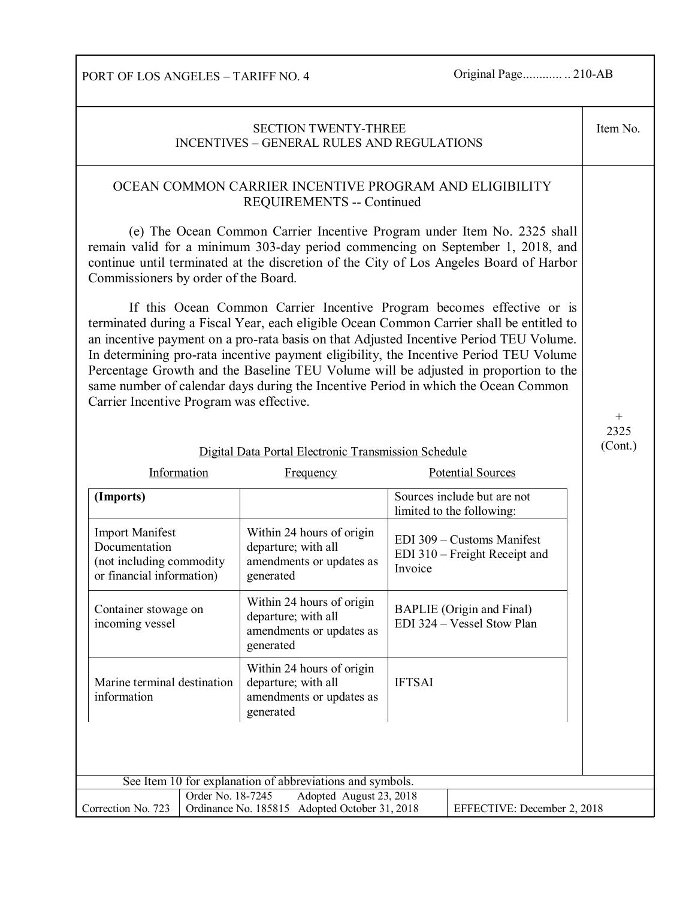PORT OF LOS ANGELES – TARIFF NO. 4 Original Page............... 210-AB

| <b>SECTION TWENTY-THREE</b><br><b>INCENTIVES - GENERAL RULES AND REGULATIONS</b>                                                                                                                                                                                                                                                                                                                                                                                                                                                                                                                                                                                                                                                                                                                                                                                                                                                                                              |                   |                                  |                                                           |               | Item No.                                                       |                             |
|-------------------------------------------------------------------------------------------------------------------------------------------------------------------------------------------------------------------------------------------------------------------------------------------------------------------------------------------------------------------------------------------------------------------------------------------------------------------------------------------------------------------------------------------------------------------------------------------------------------------------------------------------------------------------------------------------------------------------------------------------------------------------------------------------------------------------------------------------------------------------------------------------------------------------------------------------------------------------------|-------------------|----------------------------------|-----------------------------------------------------------|---------------|----------------------------------------------------------------|-----------------------------|
| OCEAN COMMON CARRIER INCENTIVE PROGRAM AND ELIGIBILITY<br><b>REQUIREMENTS -- Continued</b><br>(e) The Ocean Common Carrier Incentive Program under Item No. 2325 shall<br>remain valid for a minimum 303-day period commencing on September 1, 2018, and<br>continue until terminated at the discretion of the City of Los Angeles Board of Harbor<br>Commissioners by order of the Board.<br>If this Ocean Common Carrier Incentive Program becomes effective or is<br>terminated during a Fiscal Year, each eligible Ocean Common Carrier shall be entitled to<br>an incentive payment on a pro-rata basis on that Adjusted Incentive Period TEU Volume.<br>In determining pro-rata incentive payment eligibility, the Incentive Period TEU Volume<br>Percentage Growth and the Baseline TEU Volume will be adjusted in proportion to the<br>same number of calendar days during the Incentive Period in which the Ocean Common<br>Carrier Incentive Program was effective. |                   |                                  |                                                           |               |                                                                |                             |
|                                                                                                                                                                                                                                                                                                                                                                                                                                                                                                                                                                                                                                                                                                                                                                                                                                                                                                                                                                               |                   |                                  |                                                           |               |                                                                | $^{+}$<br>2325              |
|                                                                                                                                                                                                                                                                                                                                                                                                                                                                                                                                                                                                                                                                                                                                                                                                                                                                                                                                                                               |                   |                                  | Digital Data Portal Electronic Transmission Schedule      |               |                                                                | (Cont.)                     |
| Information                                                                                                                                                                                                                                                                                                                                                                                                                                                                                                                                                                                                                                                                                                                                                                                                                                                                                                                                                                   |                   |                                  | Frequency                                                 |               | <b>Potential Sources</b>                                       |                             |
| (Imports)                                                                                                                                                                                                                                                                                                                                                                                                                                                                                                                                                                                                                                                                                                                                                                                                                                                                                                                                                                     |                   |                                  |                                                           |               | Sources include but are not<br>limited to the following:       |                             |
| <b>Import Manifest</b><br>Documentation<br>(not including commodity<br>or financial information)                                                                                                                                                                                                                                                                                                                                                                                                                                                                                                                                                                                                                                                                                                                                                                                                                                                                              |                   | departure; with all<br>generated | Within 24 hours of origin<br>amendments or updates as     | Invoice       | EDI 309 - Customs Manifest<br>EDI 310 – Freight Receipt and    |                             |
| Container stowage on<br>incoming vessel                                                                                                                                                                                                                                                                                                                                                                                                                                                                                                                                                                                                                                                                                                                                                                                                                                                                                                                                       |                   | departure; with all<br>generated | Within 24 hours of origin<br>amendments or updates as     |               | <b>BAPLIE</b> (Origin and Final)<br>EDI 324 - Vessel Stow Plan |                             |
| Marine terminal destination<br>information                                                                                                                                                                                                                                                                                                                                                                                                                                                                                                                                                                                                                                                                                                                                                                                                                                                                                                                                    |                   | departure; with all<br>generated | Within 24 hours of origin<br>amendments or updates as     | <b>IFTSAI</b> |                                                                |                             |
|                                                                                                                                                                                                                                                                                                                                                                                                                                                                                                                                                                                                                                                                                                                                                                                                                                                                                                                                                                               |                   |                                  |                                                           |               |                                                                |                             |
|                                                                                                                                                                                                                                                                                                                                                                                                                                                                                                                                                                                                                                                                                                                                                                                                                                                                                                                                                                               |                   |                                  | See Item 10 for explanation of abbreviations and symbols. |               |                                                                |                             |
|                                                                                                                                                                                                                                                                                                                                                                                                                                                                                                                                                                                                                                                                                                                                                                                                                                                                                                                                                                               | Order No. 18-7245 |                                  | Adopted August 23, 2018                                   |               |                                                                | EFFECTIVE: December 2, 2018 |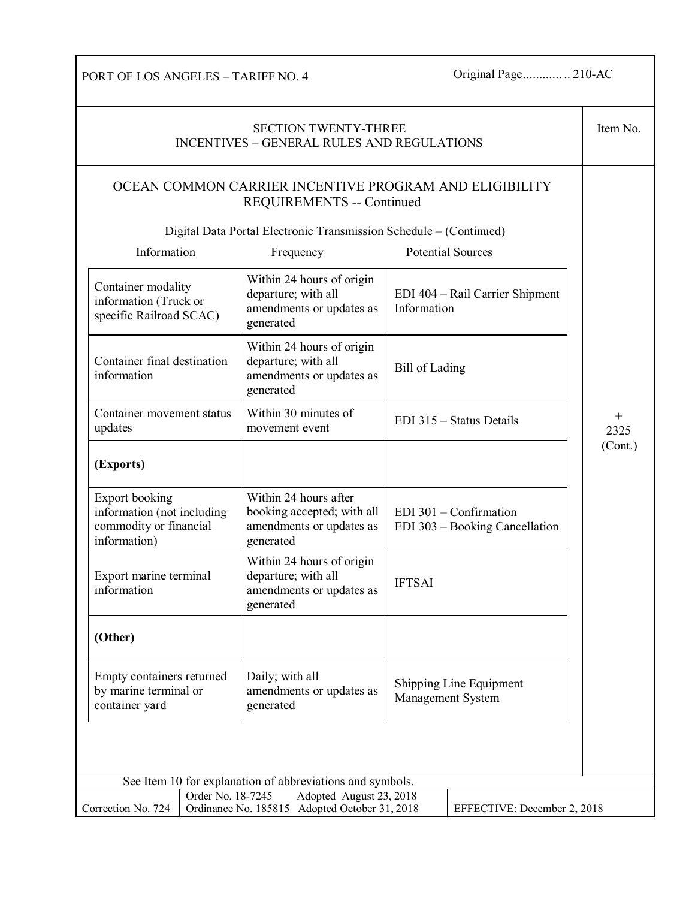PORT OF LOS ANGELES – TARIFF NO. 4 Original Page............... 210-AC

| <b>SECTION TWENTY-THREE</b><br><b>INCENTIVES - GENERAL RULES AND REGULATIONS</b>              |                   |                                                                                                                                                                  |                |                                                            | Item No.       |
|-----------------------------------------------------------------------------------------------|-------------------|------------------------------------------------------------------------------------------------------------------------------------------------------------------|----------------|------------------------------------------------------------|----------------|
|                                                                                               |                   | OCEAN COMMON CARRIER INCENTIVE PROGRAM AND ELIGIBILITY<br><b>REQUIREMENTS -- Continued</b><br>Digital Data Portal Electronic Transmission Schedule – (Continued) |                |                                                            |                |
| Information                                                                                   |                   | <b>Frequency</b>                                                                                                                                                 |                | <b>Potential Sources</b>                                   |                |
| Container modality<br>information (Truck or<br>specific Railroad SCAC)                        |                   | Within 24 hours of origin<br>departure; with all<br>amendments or updates as<br>generated                                                                        | Information    | EDI 404 – Rail Carrier Shipment                            |                |
| Container final destination<br>information                                                    |                   | Within 24 hours of origin<br>departure; with all<br>amendments or updates as<br>generated                                                                        | Bill of Lading |                                                            |                |
| Container movement status<br>updates                                                          |                   | Within 30 minutes of<br>movement event                                                                                                                           |                | EDI 315 - Status Details                                   | $^{+}$<br>2325 |
| (Exports)                                                                                     |                   |                                                                                                                                                                  |                |                                                            | (Cont.)        |
| <b>Export booking</b><br>information (not including<br>commodity or financial<br>information) |                   | Within 24 hours after<br>booking accepted; with all<br>amendments or updates as<br>generated                                                                     |                | $EDI$ 301 – Confirmation<br>EDI 303 - Booking Cancellation |                |
| Export marine terminal<br>information                                                         |                   | Within 24 hours of origin<br>departure; with all<br>amendments or updates as<br>generated                                                                        | <b>IFTSAI</b>  |                                                            |                |
| (Other)                                                                                       |                   |                                                                                                                                                                  |                |                                                            |                |
| Empty containers returned<br>by marine terminal or<br>container yard                          |                   | Daily; with all<br>amendments or updates as<br>generated                                                                                                         |                | Shipping Line Equipment<br>Management System               |                |
|                                                                                               |                   |                                                                                                                                                                  |                |                                                            |                |
|                                                                                               |                   | See Item 10 for explanation of abbreviations and symbols.                                                                                                        |                |                                                            |                |
| Correction No. 724                                                                            | Order No. 18-7245 | Adopted August 23, 2018<br>Ordinance No. 185815 Adopted October 31, 2018                                                                                         |                | EFFECTIVE: December 2, 2018                                |                |
|                                                                                               |                   |                                                                                                                                                                  |                |                                                            |                |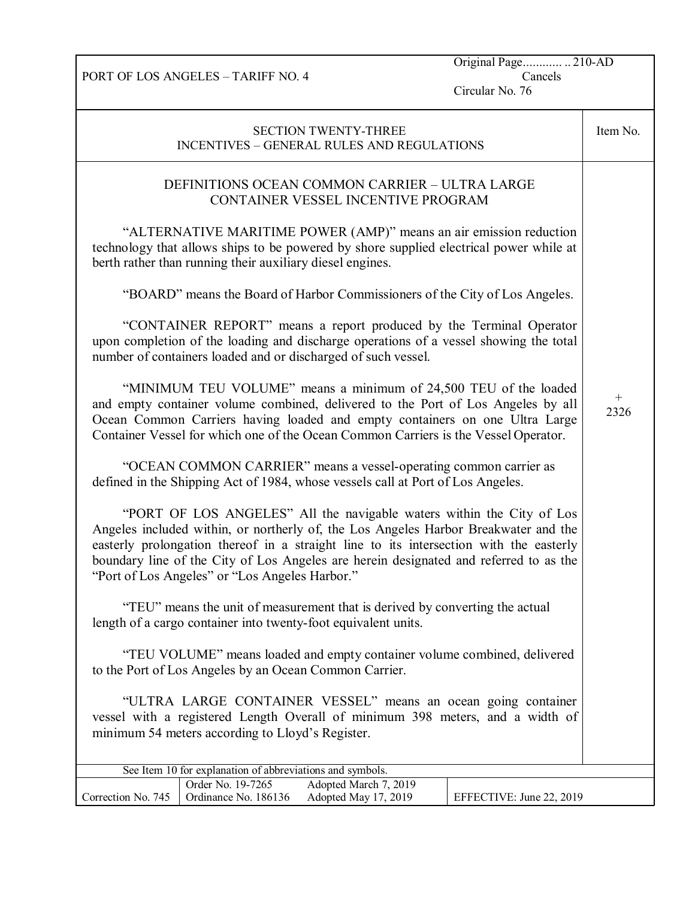PORT OF LOS ANGELES – TARIFF NO. 4

Original Page............ .. 210-AD Cancels

Circular No. 76

| <b>SECTION TWENTY-THREE</b><br><b>INCENTIVES - GENERAL RULES AND REGULATIONS</b>                                                                                                                                                                                                                                                                                                                  | Item No. |  |
|---------------------------------------------------------------------------------------------------------------------------------------------------------------------------------------------------------------------------------------------------------------------------------------------------------------------------------------------------------------------------------------------------|----------|--|
| DEFINITIONS OCEAN COMMON CARRIER - ULTRA LARGE<br>CONTAINER VESSEL INCENTIVE PROGRAM                                                                                                                                                                                                                                                                                                              |          |  |
| "ALTERNATIVE MARITIME POWER (AMP)" means an air emission reduction<br>technology that allows ships to be powered by shore supplied electrical power while at<br>berth rather than running their auxiliary diesel engines.                                                                                                                                                                         |          |  |
| "BOARD" means the Board of Harbor Commissioners of the City of Los Angeles.                                                                                                                                                                                                                                                                                                                       |          |  |
| "CONTAINER REPORT" means a report produced by the Terminal Operator<br>upon completion of the loading and discharge operations of a vessel showing the total<br>number of containers loaded and or discharged of such vessel.                                                                                                                                                                     |          |  |
| "MINIMUM TEU VOLUME" means a minimum of 24,500 TEU of the loaded<br>and empty container volume combined, delivered to the Port of Los Angeles by all<br>Ocean Common Carriers having loaded and empty containers on one Ultra Large<br>Container Vessel for which one of the Ocean Common Carriers is the Vessel Operator.                                                                        |          |  |
| "OCEAN COMMON CARRIER" means a vessel-operating common carrier as<br>defined in the Shipping Act of 1984, whose vessels call at Port of Los Angeles.                                                                                                                                                                                                                                              |          |  |
| "PORT OF LOS ANGELES" All the navigable waters within the City of Los<br>Angeles included within, or northerly of, the Los Angeles Harbor Breakwater and the<br>easterly prolongation thereof in a straight line to its intersection with the easterly<br>boundary line of the City of Los Angeles are herein designated and referred to as the<br>"Port of Los Angeles" or "Los Angeles Harbor." |          |  |
| "TEU" means the unit of measurement that is derived by converting the actual<br>length of a cargo container into twenty-foot equivalent units.                                                                                                                                                                                                                                                    |          |  |
| "TEU VOLUME" means loaded and empty container volume combined, delivered<br>to the Port of Los Angeles by an Ocean Common Carrier.                                                                                                                                                                                                                                                                |          |  |
| "ULTRA LARGE CONTAINER VESSEL" means an ocean going container<br>vessel with a registered Length Overall of minimum 398 meters, and a width of<br>minimum 54 meters according to Lloyd's Register.                                                                                                                                                                                                |          |  |
| See Item 10 for explanation of abbreviations and symbols.                                                                                                                                                                                                                                                                                                                                         |          |  |
| Order No. 19-7265<br>Adopted March 7, 2019<br>Correction No. 745<br>Ordinance No. 186136<br>Adopted May 17, 2019<br>EFFECTIVE: June 22, 2019                                                                                                                                                                                                                                                      |          |  |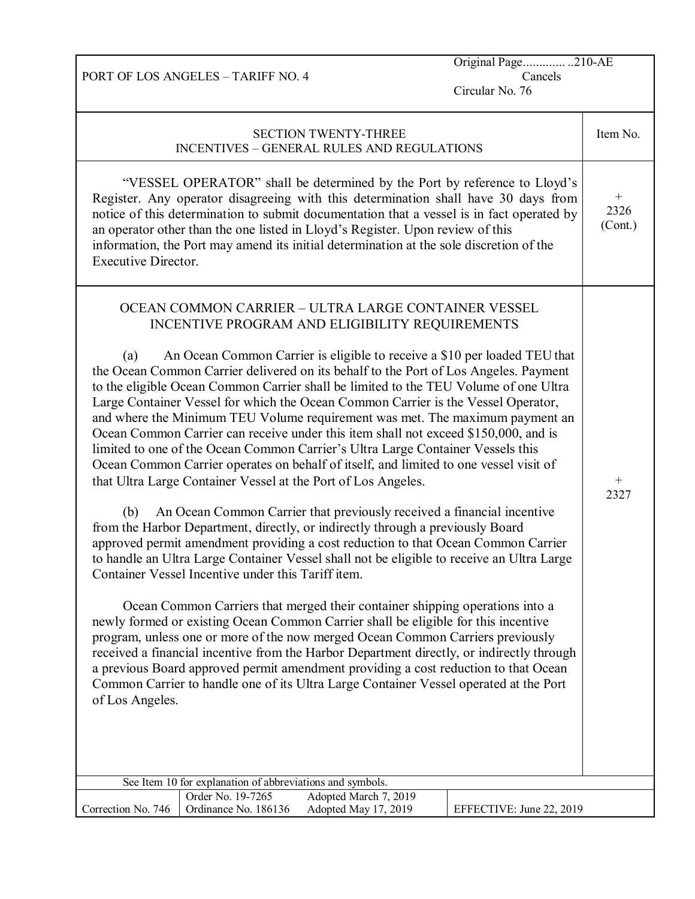|                               | <b>PORT OF LOS ANGELES - TARIFF NO. 4</b>                 |                                                                                                                                                                                                                                                                                                                                                                                                                                                                                                                                                                                                                                                                                                                                                                                                                                                                                                                                                                                                                                                                                                                                                                                                                                                                                                                 | Original Page210-AE<br>Cancels<br>Circular No. 76                                                                                                                                                                                                                                                                                                                                                                                           |                                       |
|-------------------------------|-----------------------------------------------------------|-----------------------------------------------------------------------------------------------------------------------------------------------------------------------------------------------------------------------------------------------------------------------------------------------------------------------------------------------------------------------------------------------------------------------------------------------------------------------------------------------------------------------------------------------------------------------------------------------------------------------------------------------------------------------------------------------------------------------------------------------------------------------------------------------------------------------------------------------------------------------------------------------------------------------------------------------------------------------------------------------------------------------------------------------------------------------------------------------------------------------------------------------------------------------------------------------------------------------------------------------------------------------------------------------------------------|---------------------------------------------------------------------------------------------------------------------------------------------------------------------------------------------------------------------------------------------------------------------------------------------------------------------------------------------------------------------------------------------------------------------------------------------|---------------------------------------|
|                               |                                                           | <b>SECTION TWENTY-THREE</b><br>INCENTIVES - GENERAL RULES AND REGULATIONS                                                                                                                                                                                                                                                                                                                                                                                                                                                                                                                                                                                                                                                                                                                                                                                                                                                                                                                                                                                                                                                                                                                                                                                                                                       |                                                                                                                                                                                                                                                                                                                                                                                                                                             | Item No.                              |
| <b>Executive Director.</b>    |                                                           | an operator other than the one listed in Lloyd's Register. Upon review of this<br>information, the Port may amend its initial determination at the sole discretion of the                                                                                                                                                                                                                                                                                                                                                                                                                                                                                                                                                                                                                                                                                                                                                                                                                                                                                                                                                                                                                                                                                                                                       | "VESSEL OPERATOR" shall be determined by the Port by reference to Lloyd's<br>Register. Any operator disagreeing with this determination shall have 30 days from<br>notice of this determination to submit documentation that a vessel is in fact operated by                                                                                                                                                                                | $\hspace{0.1mm} +$<br>2326<br>(Cont.) |
| (a)<br>(b)<br>of Los Angeles. | Container Vessel Incentive under this Tariff item.        | OCEAN COMMON CARRIER - ULTRA LARGE CONTAINER VESSEL<br>INCENTIVE PROGRAM AND ELIGIBILITY REQUIREMENTS<br>to the eligible Ocean Common Carrier shall be limited to the TEU Volume of one Ultra<br>Large Container Vessel for which the Ocean Common Carrier is the Vessel Operator,<br>Ocean Common Carrier can receive under this item shall not exceed \$150,000, and is<br>limited to one of the Ocean Common Carrier's Ultra Large Container Vessels this<br>Ocean Common Carrier operates on behalf of itself, and limited to one vessel visit of<br>that Ultra Large Container Vessel at the Port of Los Angeles.<br>An Ocean Common Carrier that previously received a financial incentive<br>from the Harbor Department, directly, or indirectly through a previously Board<br>approved permit amendment providing a cost reduction to that Ocean Common Carrier<br>Ocean Common Carriers that merged their container shipping operations into a<br>newly formed or existing Ocean Common Carrier shall be eligible for this incentive<br>program, unless one or more of the now merged Ocean Common Carriers previously<br>a previous Board approved permit amendment providing a cost reduction to that Ocean<br>Common Carrier to handle one of its Ultra Large Container Vessel operated at the Port | An Ocean Common Carrier is eligible to receive a \$10 per loaded TEU that<br>the Ocean Common Carrier delivered on its behalf to the Port of Los Angeles. Payment<br>and where the Minimum TEU Volume requirement was met. The maximum payment an<br>to handle an Ultra Large Container Vessel shall not be eligible to receive an Ultra Large<br>received a financial incentive from the Harbor Department directly, or indirectly through | $^{+}$<br>2327                        |
|                               | See Item 10 for explanation of abbreviations and symbols. |                                                                                                                                                                                                                                                                                                                                                                                                                                                                                                                                                                                                                                                                                                                                                                                                                                                                                                                                                                                                                                                                                                                                                                                                                                                                                                                 |                                                                                                                                                                                                                                                                                                                                                                                                                                             |                                       |
| Correction No. 746            | Order No. 19-7265<br>Ordinance No. 186136                 | Adopted March 7, 2019<br>Adopted May 17, 2019                                                                                                                                                                                                                                                                                                                                                                                                                                                                                                                                                                                                                                                                                                                                                                                                                                                                                                                                                                                                                                                                                                                                                                                                                                                                   | EFFECTIVE: June 22, 2019                                                                                                                                                                                                                                                                                                                                                                                                                    |                                       |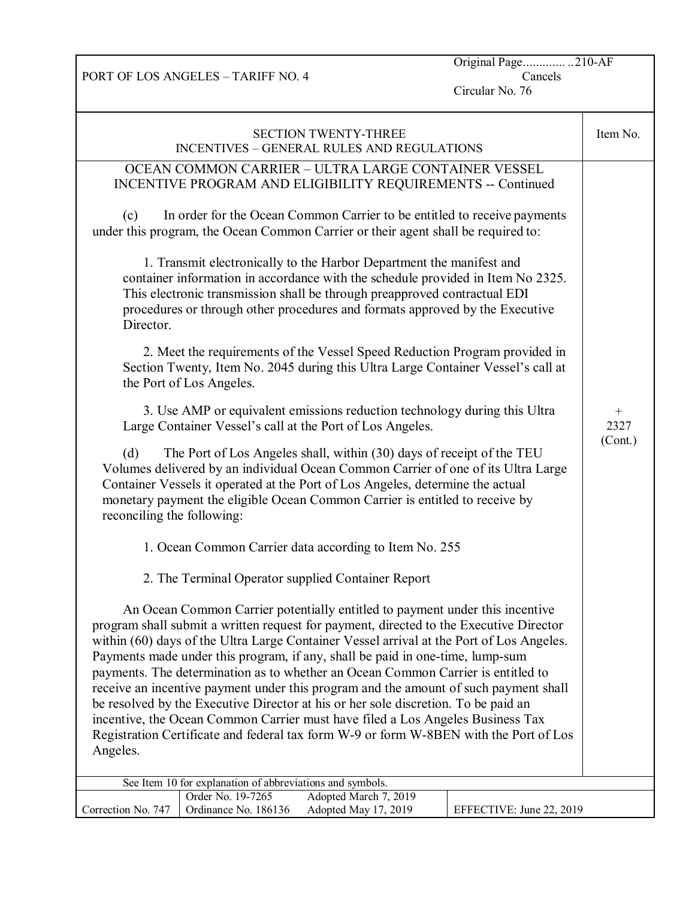PORT OF LOS ANGELES – TARIFF NO. 4

Original Page............. ..210-AF Cancels

Circular No. 76

| <b>SECTION TWENTY-THREE</b><br><b>INCENTIVES - GENERAL RULES AND REGULATIONS</b>                                                                                                                                                                                                                                                                                                                                                                                                                                                                                                                                                                                                                                                                                                                                                                                                                                                                                                                                                                                                                                                                                                                                                                                                                                                                                                                                                                                                                                                                                                                                                                                                                                                                                                                                                                                                                                                                                                                                                                                                                                                                                                                                                                                             | Item No.                  |
|------------------------------------------------------------------------------------------------------------------------------------------------------------------------------------------------------------------------------------------------------------------------------------------------------------------------------------------------------------------------------------------------------------------------------------------------------------------------------------------------------------------------------------------------------------------------------------------------------------------------------------------------------------------------------------------------------------------------------------------------------------------------------------------------------------------------------------------------------------------------------------------------------------------------------------------------------------------------------------------------------------------------------------------------------------------------------------------------------------------------------------------------------------------------------------------------------------------------------------------------------------------------------------------------------------------------------------------------------------------------------------------------------------------------------------------------------------------------------------------------------------------------------------------------------------------------------------------------------------------------------------------------------------------------------------------------------------------------------------------------------------------------------------------------------------------------------------------------------------------------------------------------------------------------------------------------------------------------------------------------------------------------------------------------------------------------------------------------------------------------------------------------------------------------------------------------------------------------------------------------------------------------------|---------------------------|
| OCEAN COMMON CARRIER - ULTRA LARGE CONTAINER VESSEL<br>INCENTIVE PROGRAM AND ELIGIBILITY REQUIREMENTS -- Continued<br>In order for the Ocean Common Carrier to be entitled to receive payments<br>(c)<br>under this program, the Ocean Common Carrier or their agent shall be required to:<br>1. Transmit electronically to the Harbor Department the manifest and<br>container information in accordance with the schedule provided in Item No 2325.<br>This electronic transmission shall be through preapproved contractual EDI<br>procedures or through other procedures and formats approved by the Executive<br>Director.<br>2. Meet the requirements of the Vessel Speed Reduction Program provided in<br>Section Twenty, Item No. 2045 during this Ultra Large Container Vessel's call at<br>the Port of Los Angeles.<br>3. Use AMP or equivalent emissions reduction technology during this Ultra<br>Large Container Vessel's call at the Port of Los Angeles.<br>The Port of Los Angeles shall, within (30) days of receipt of the TEU<br>(d)<br>Volumes delivered by an individual Ocean Common Carrier of one of its Ultra Large<br>Container Vessels it operated at the Port of Los Angeles, determine the actual<br>monetary payment the eligible Ocean Common Carrier is entitled to receive by<br>reconciling the following:<br>1. Ocean Common Carrier data according to Item No. 255<br>2. The Terminal Operator supplied Container Report<br>An Ocean Common Carrier potentially entitled to payment under this incentive<br>program shall submit a written request for payment, directed to the Executive Director<br>within (60) days of the Ultra Large Container Vessel arrival at the Port of Los Angeles.<br>Payments made under this program, if any, shall be paid in one-time, lump-sum<br>payments. The determination as to whether an Ocean Common Carrier is entitled to<br>receive an incentive payment under this program and the amount of such payment shall<br>be resolved by the Executive Director at his or her sole discretion. To be paid an<br>incentive, the Ocean Common Carrier must have filed a Los Angeles Business Tax<br>Registration Certificate and federal tax form W-9 or form W-8BEN with the Port of Los<br>Angeles. | $^{+}$<br>2327<br>(Cont.) |
| See Item 10 for explanation of abbreviations and symbols.<br>Adopted March 7, 2019<br>Order No. 19-7265                                                                                                                                                                                                                                                                                                                                                                                                                                                                                                                                                                                                                                                                                                                                                                                                                                                                                                                                                                                                                                                                                                                                                                                                                                                                                                                                                                                                                                                                                                                                                                                                                                                                                                                                                                                                                                                                                                                                                                                                                                                                                                                                                                      |                           |
| Correction No. 747<br>Ordinance No. 186136<br>Adopted May 17, 2019<br>EFFECTIVE: June 22, 2019                                                                                                                                                                                                                                                                                                                                                                                                                                                                                                                                                                                                                                                                                                                                                                                                                                                                                                                                                                                                                                                                                                                                                                                                                                                                                                                                                                                                                                                                                                                                                                                                                                                                                                                                                                                                                                                                                                                                                                                                                                                                                                                                                                               |                           |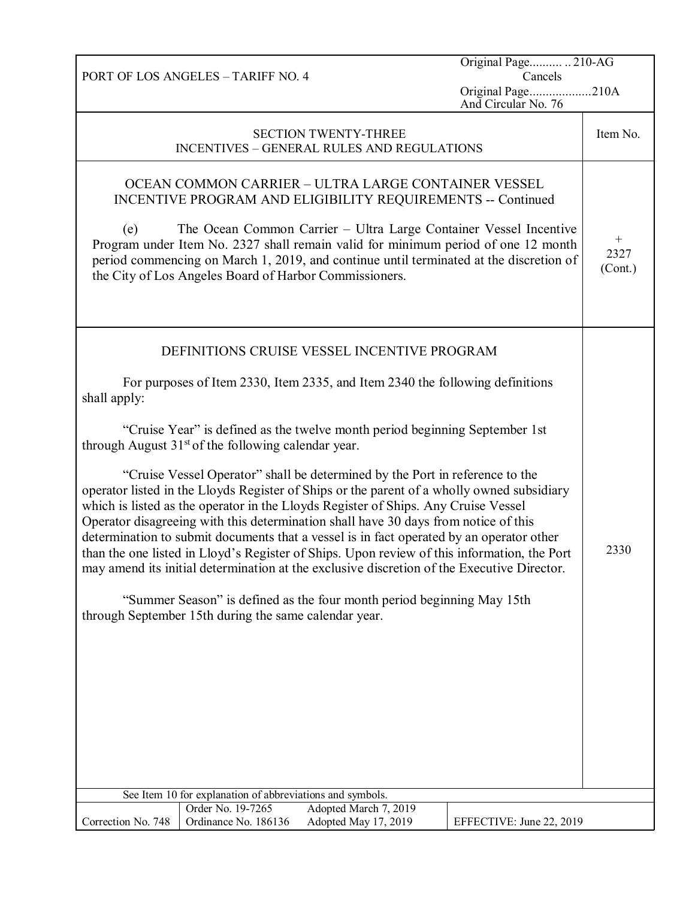|                                                                                                                                                                                                                                                                                                                                                                                                                                                                                                                                                                                                                                                  | PORT OF LOS ANGELES - TARIFF NO. 4                                             |                                                                                                                                                                                                                                                                                                                                                                        | Original Page 210-AG<br>Cancels          |                           |
|--------------------------------------------------------------------------------------------------------------------------------------------------------------------------------------------------------------------------------------------------------------------------------------------------------------------------------------------------------------------------------------------------------------------------------------------------------------------------------------------------------------------------------------------------------------------------------------------------------------------------------------------------|--------------------------------------------------------------------------------|------------------------------------------------------------------------------------------------------------------------------------------------------------------------------------------------------------------------------------------------------------------------------------------------------------------------------------------------------------------------|------------------------------------------|---------------------------|
|                                                                                                                                                                                                                                                                                                                                                                                                                                                                                                                                                                                                                                                  |                                                                                |                                                                                                                                                                                                                                                                                                                                                                        | Original Page210A<br>And Circular No. 76 |                           |
|                                                                                                                                                                                                                                                                                                                                                                                                                                                                                                                                                                                                                                                  |                                                                                | <b>SECTION TWENTY-THREE</b><br><b>INCENTIVES - GENERAL RULES AND REGULATIONS</b>                                                                                                                                                                                                                                                                                       |                                          | Item No.                  |
| (e)                                                                                                                                                                                                                                                                                                                                                                                                                                                                                                                                                                                                                                              | the City of Los Angeles Board of Harbor Commissioners.                         | OCEAN COMMON CARRIER - ULTRA LARGE CONTAINER VESSEL<br>INCENTIVE PROGRAM AND ELIGIBILITY REQUIREMENTS -- Continued<br>The Ocean Common Carrier - Ultra Large Container Vessel Incentive<br>Program under Item No. 2327 shall remain valid for minimum period of one 12 month<br>period commencing on March 1, 2019, and continue until terminated at the discretion of |                                          | $^{+}$<br>2327<br>(Cont.) |
|                                                                                                                                                                                                                                                                                                                                                                                                                                                                                                                                                                                                                                                  |                                                                                | DEFINITIONS CRUISE VESSEL INCENTIVE PROGRAM                                                                                                                                                                                                                                                                                                                            |                                          |                           |
| shall apply:                                                                                                                                                                                                                                                                                                                                                                                                                                                                                                                                                                                                                                     |                                                                                | For purposes of Item 2330, Item 2335, and Item 2340 the following definitions                                                                                                                                                                                                                                                                                          |                                          |                           |
|                                                                                                                                                                                                                                                                                                                                                                                                                                                                                                                                                                                                                                                  | through August $31st$ of the following calendar year.                          | "Cruise Year" is defined as the twelve month period beginning September 1st                                                                                                                                                                                                                                                                                            |                                          |                           |
| "Cruise Vessel Operator" shall be determined by the Port in reference to the<br>operator listed in the Lloyds Register of Ships or the parent of a wholly owned subsidiary<br>which is listed as the operator in the Lloyds Register of Ships. Any Cruise Vessel<br>Operator disagreeing with this determination shall have 30 days from notice of this<br>determination to submit documents that a vessel is in fact operated by an operator other<br>than the one listed in Lloyd's Register of Ships. Upon review of this information, the Port<br>may amend its initial determination at the exclusive discretion of the Executive Director. |                                                                                |                                                                                                                                                                                                                                                                                                                                                                        |                                          |                           |
| "Summer Season" is defined as the four month period beginning May 15th<br>through September 15th during the same calendar year.                                                                                                                                                                                                                                                                                                                                                                                                                                                                                                                  |                                                                                |                                                                                                                                                                                                                                                                                                                                                                        |                                          |                           |
|                                                                                                                                                                                                                                                                                                                                                                                                                                                                                                                                                                                                                                                  |                                                                                |                                                                                                                                                                                                                                                                                                                                                                        |                                          |                           |
|                                                                                                                                                                                                                                                                                                                                                                                                                                                                                                                                                                                                                                                  | See Item 10 for explanation of abbreviations and symbols.<br>Order No. 19-7265 | Adopted March 7, 2019                                                                                                                                                                                                                                                                                                                                                  |                                          |                           |
| Correction No. 748                                                                                                                                                                                                                                                                                                                                                                                                                                                                                                                                                                                                                               | Ordinance No. 186136                                                           | Adopted May 17, 2019                                                                                                                                                                                                                                                                                                                                                   | EFFECTIVE: June 22, 2019                 |                           |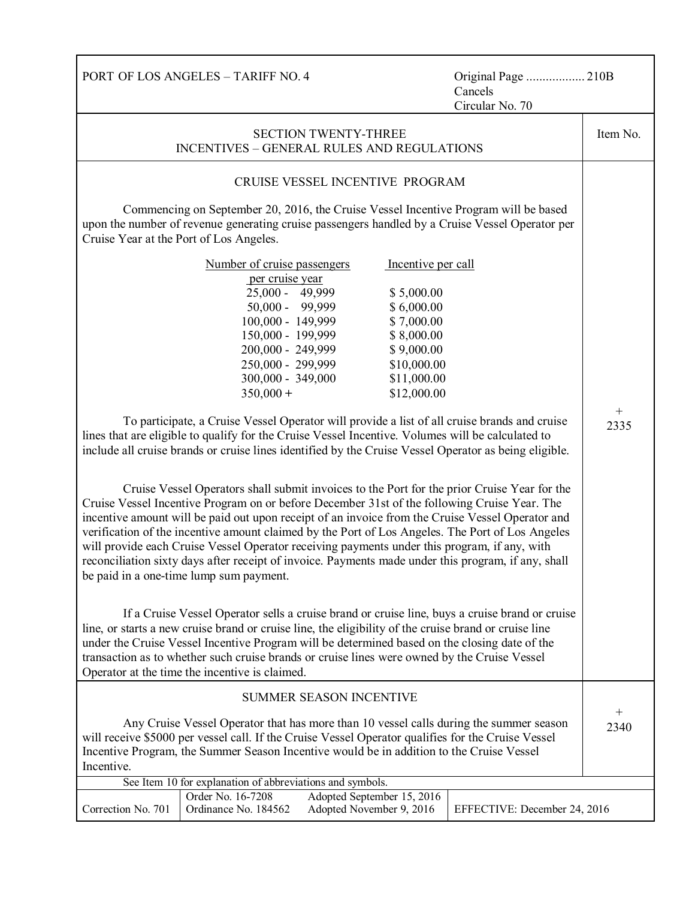| PORT OF LOS ANGELES - TARIFF NO. 4<br>Original Page  210B<br>Cancels<br>Circular No. 70                                                                                                                                                                                                                                                                                                                                                                                                                                                                                                                                                                                                                                                                                                                                                                                                                                                                             |                              |          |  |
|---------------------------------------------------------------------------------------------------------------------------------------------------------------------------------------------------------------------------------------------------------------------------------------------------------------------------------------------------------------------------------------------------------------------------------------------------------------------------------------------------------------------------------------------------------------------------------------------------------------------------------------------------------------------------------------------------------------------------------------------------------------------------------------------------------------------------------------------------------------------------------------------------------------------------------------------------------------------|------------------------------|----------|--|
| <b>SECTION TWENTY-THREE</b><br><b>INCENTIVES - GENERAL RULES AND REGULATIONS</b>                                                                                                                                                                                                                                                                                                                                                                                                                                                                                                                                                                                                                                                                                                                                                                                                                                                                                    |                              | Item No. |  |
| CRUISE VESSEL INCENTIVE PROGRAM                                                                                                                                                                                                                                                                                                                                                                                                                                                                                                                                                                                                                                                                                                                                                                                                                                                                                                                                     |                              |          |  |
| Commencing on September 20, 2016, the Cruise Vessel Incentive Program will be based<br>upon the number of revenue generating cruise passengers handled by a Cruise Vessel Operator per<br>Cruise Year at the Port of Los Angeles.                                                                                                                                                                                                                                                                                                                                                                                                                                                                                                                                                                                                                                                                                                                                   |                              |          |  |
| Number of cruise passengers<br>Incentive per call<br>per cruise year<br>25,000 - 49,999<br>\$5,000.00<br>50,000 - 99,999<br>\$6,000.00<br>100,000 - 149,999<br>\$7,000.00<br>150,000 - 199,999<br>\$8,000.00<br>200,000 - 249,999<br>\$9,000.00<br>250,000 - 299,999<br>\$10,000.00                                                                                                                                                                                                                                                                                                                                                                                                                                                                                                                                                                                                                                                                                 |                              |          |  |
| 300,000 - 349,000<br>\$11,000.00<br>$350,000 +$<br>\$12,000.00                                                                                                                                                                                                                                                                                                                                                                                                                                                                                                                                                                                                                                                                                                                                                                                                                                                                                                      |                              |          |  |
| To participate, a Cruise Vessel Operator will provide a list of all cruise brands and cruise<br>lines that are eligible to qualify for the Cruise Vessel Incentive. Volumes will be calculated to<br>include all cruise brands or cruise lines identified by the Cruise Vessel Operator as being eligible.<br>Cruise Vessel Operators shall submit invoices to the Port for the prior Cruise Year for the<br>Cruise Vessel Incentive Program on or before December 31st of the following Cruise Year. The<br>incentive amount will be paid out upon receipt of an invoice from the Cruise Vessel Operator and<br>verification of the incentive amount claimed by the Port of Los Angeles. The Port of Los Angeles<br>will provide each Cruise Vessel Operator receiving payments under this program, if any, with<br>reconciliation sixty days after receipt of invoice. Payments made under this program, if any, shall<br>be paid in a one-time lump sum payment. |                              |          |  |
| If a Cruise Vessel Operator sells a cruise brand or cruise line, buys a cruise brand or cruise<br>line, or starts a new cruise brand or cruise line, the eligibility of the cruise brand or cruise line<br>under the Cruise Vessel Incentive Program will be determined based on the closing date of the<br>transaction as to whether such cruise brands or cruise lines were owned by the Cruise Vessel<br>Operator at the time the incentive is claimed.                                                                                                                                                                                                                                                                                                                                                                                                                                                                                                          |                              |          |  |
| SUMMER SEASON INCENTIVE                                                                                                                                                                                                                                                                                                                                                                                                                                                                                                                                                                                                                                                                                                                                                                                                                                                                                                                                             |                              |          |  |
| Any Cruise Vessel Operator that has more than 10 vessel calls during the summer season<br>will receive \$5000 per vessel call. If the Cruise Vessel Operator qualifies for the Cruise Vessel<br>Incentive Program, the Summer Season Incentive would be in addition to the Cruise Vessel<br>Incentive.                                                                                                                                                                                                                                                                                                                                                                                                                                                                                                                                                                                                                                                              |                              |          |  |
| See Item 10 for explanation of abbreviations and symbols.                                                                                                                                                                                                                                                                                                                                                                                                                                                                                                                                                                                                                                                                                                                                                                                                                                                                                                           |                              |          |  |
| Order No. 16-7208<br>Adopted September 15, 2016<br>Correction No. 701<br>Ordinance No. 184562<br>Adopted November 9, 2016                                                                                                                                                                                                                                                                                                                                                                                                                                                                                                                                                                                                                                                                                                                                                                                                                                           | EFFECTIVE: December 24, 2016 |          |  |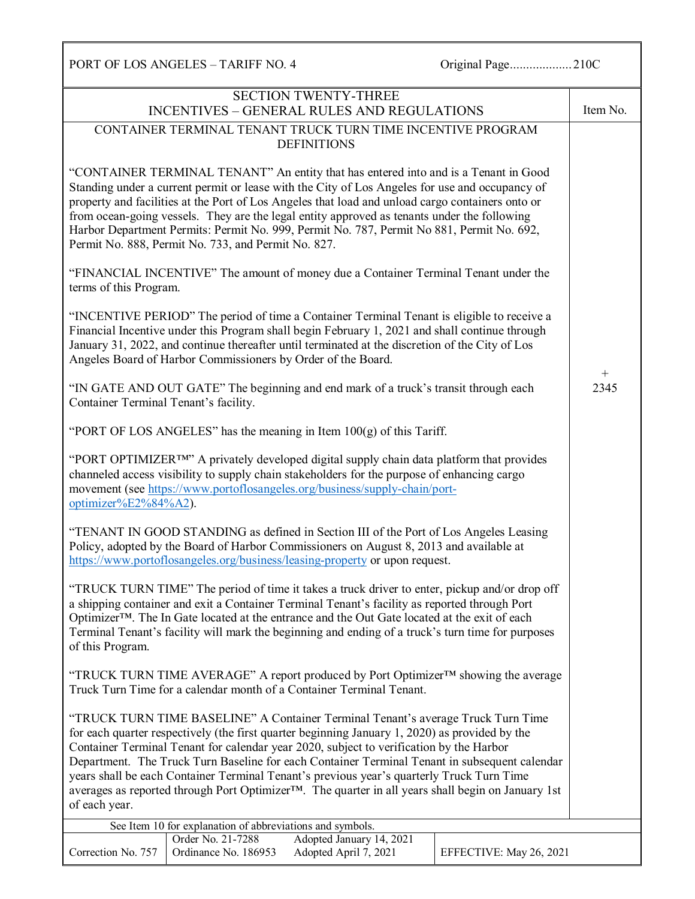PORT OF LOS ANGELES – TARIFF NO. 4 Original Page..............................210C SECTION TWENTY-THREE INCENTIVES – GENERAL RULES AND REGULATIONS Item No. CONTAINER TERMINAL TENANT TRUCK TURN TIME INCENTIVE PROGRAM **DEFINITIONS** "CONTAINER TERMINAL TENANT" An entity that has entered into and is a Tenant in Good Standing under a current permit or lease with the City of Los Angeles for use and occupancy of property and facilities at the Port of Los Angeles that load and unload cargo containers onto or from ocean-going vessels. They are the legal entity approved as tenants under the following Harbor Department Permits: Permit No. 999, Permit No. 787, Permit No 881, Permit No. 692, Permit No. 888, Permit No. 733, and Permit No. 827. "FINANCIAL INCENTIVE" The amount of money due a Container Terminal Tenant under the terms of this Program. "INCENTIVE PERIOD" The period of time a Container Terminal Tenant is eligible to receive a Financial Incentive under this Program shall begin February 1, 2021 and shall continue through January 31, 2022, and continue thereafter until terminated at the discretion of the City of Los Angeles Board of Harbor Commissioners by Order of the Board. "IN GATE AND OUT GATE" The beginning and end mark of a truck's transit through each Container Terminal Tenant's facility. "PORT OF LOS ANGELES" has the meaning in Item  $100(g)$  of this Tariff. "PORT OPTIMIZER™" A privately developed digital supply chain data platform that provides channeled access visibility to supply chain stakeholders for the purpose of enhancing cargo movement (see [https://www.portoflosangeles.org/business/supply-chain/port](https://www.portoflosangeles.org/business/supply-chain/port-optimizer%E2%84%A2)[optimizer%E2%84%A2\)](https://www.portoflosangeles.org/business/supply-chain/port-optimizer%E2%84%A2). "TENANT IN GOOD STANDING as defined in Section III of the Port of Los Angeles Leasing Policy, adopted by the Board of Harbor Commissioners on August 8, 2013 and available at <https://www.portoflosangeles.org/business/leasing-property> or upon request. "TRUCK TURN TIME" The period of time it takes a truck driver to enter, pickup and/or drop off a shipping container and exit a Container Terminal Tenant's facility as reported through Port Optimizer™. The In Gate located at the entrance and the Out Gate located at the exit of each Terminal Tenant's facility will mark the beginning and ending of a truck's turn time for purposes of this Program. "TRUCK TURN TIME AVERAGE" A report produced by Port Optimizer™ showing the average Truck Turn Time for a calendar month of a Container Terminal Tenant. "TRUCK TURN TIME BASELINE" A Container Terminal Tenant's average Truck Turn Time for each quarter respectively (the first quarter beginning January 1, 2020) as provided by the Container Terminal Tenant for calendar year 2020, subject to verification by the Harbor Department. The Truck Turn Baseline for each Container Terminal Tenant in subsequent calendar years shall be each Container Terminal Tenant's previous year's quarterly Truck Turn Time averages as reported through Port Optimizer™. The quarter in all years shall begin on January 1st of each year.  $+$ 2345 See Item 10 for explanation of abbreviations and symbols. Correction No. 757 Order No. 21-7288 Adopted January 14, 2021 Ordinance No. 186953 Adopted April 7, 2021 EFFECTIVE: May 26, 2021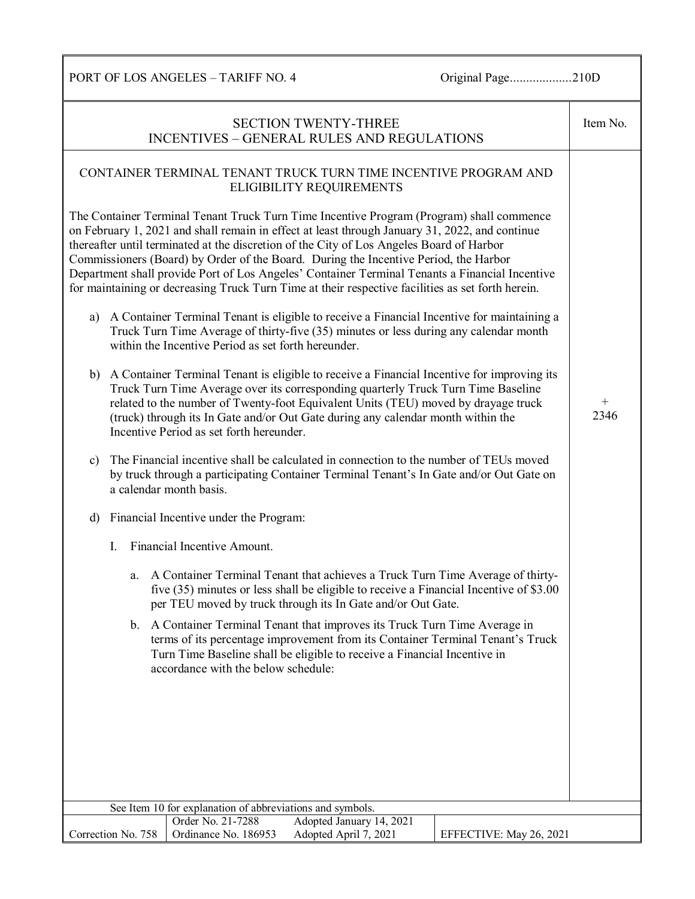PORT OF LOS ANGELES – TARIFF NO. 4 Original Page........................210D

| <b>SECTION TWENTY-THREE</b><br><b>INCENTIVES - GENERAL RULES AND REGULATIONS</b>                                                                                                                                                                                                                                                                                                                                                                                                                                                                                                      |                |  |  |  |
|---------------------------------------------------------------------------------------------------------------------------------------------------------------------------------------------------------------------------------------------------------------------------------------------------------------------------------------------------------------------------------------------------------------------------------------------------------------------------------------------------------------------------------------------------------------------------------------|----------------|--|--|--|
| CONTAINER TERMINAL TENANT TRUCK TURN TIME INCENTIVE PROGRAM AND<br>ELIGIBILITY REQUIREMENTS                                                                                                                                                                                                                                                                                                                                                                                                                                                                                           |                |  |  |  |
| The Container Terminal Tenant Truck Turn Time Incentive Program (Program) shall commence<br>on February 1, 2021 and shall remain in effect at least through January 31, 2022, and continue<br>thereafter until terminated at the discretion of the City of Los Angeles Board of Harbor<br>Commissioners (Board) by Order of the Board. During the Incentive Period, the Harbor<br>Department shall provide Port of Los Angeles' Container Terminal Tenants a Financial Incentive<br>for maintaining or decreasing Truck Turn Time at their respective facilities as set forth herein. |                |  |  |  |
| A Container Terminal Tenant is eligible to receive a Financial Incentive for maintaining a<br>a)<br>Truck Turn Time Average of thirty-five (35) minutes or less during any calendar month<br>within the Incentive Period as set forth hereunder.                                                                                                                                                                                                                                                                                                                                      |                |  |  |  |
| b) A Container Terminal Tenant is eligible to receive a Financial Incentive for improving its<br>Truck Turn Time Average over its corresponding quarterly Truck Turn Time Baseline<br>related to the number of Twenty-foot Equivalent Units (TEU) moved by drayage truck<br>(truck) through its In Gate and/or Out Gate during any calendar month within the<br>Incentive Period as set forth hereunder.                                                                                                                                                                              | $^{+}$<br>2346 |  |  |  |
| The Financial incentive shall be calculated in connection to the number of TEUs moved<br>$\mathbf{c})$<br>by truck through a participating Container Terminal Tenant's In Gate and/or Out Gate on<br>a calendar month basis.                                                                                                                                                                                                                                                                                                                                                          |                |  |  |  |
| Financial Incentive under the Program:<br>d)                                                                                                                                                                                                                                                                                                                                                                                                                                                                                                                                          |                |  |  |  |
| Financial Incentive Amount.<br>$\mathbf{I}$ .                                                                                                                                                                                                                                                                                                                                                                                                                                                                                                                                         |                |  |  |  |
| A Container Terminal Tenant that achieves a Truck Turn Time Average of thirty-<br>a.<br>five (35) minutes or less shall be eligible to receive a Financial Incentive of \$3.00<br>per TEU moved by truck through its In Gate and/or Out Gate.                                                                                                                                                                                                                                                                                                                                         |                |  |  |  |
| b. A Container Terminal Tenant that improves its Truck Turn Time Average in<br>terms of its percentage improvement from its Container Terminal Tenant's Truck<br>Turn Time Baseline shall be eligible to receive a Financial Incentive in<br>accordance with the below schedule:                                                                                                                                                                                                                                                                                                      |                |  |  |  |
|                                                                                                                                                                                                                                                                                                                                                                                                                                                                                                                                                                                       |                |  |  |  |
|                                                                                                                                                                                                                                                                                                                                                                                                                                                                                                                                                                                       |                |  |  |  |
|                                                                                                                                                                                                                                                                                                                                                                                                                                                                                                                                                                                       |                |  |  |  |
|                                                                                                                                                                                                                                                                                                                                                                                                                                                                                                                                                                                       |                |  |  |  |
| See Item 10 for explanation of abbreviations and symbols.                                                                                                                                                                                                                                                                                                                                                                                                                                                                                                                             |                |  |  |  |
| Order No. 21-7288<br>Adopted January 14, 2021<br>Correction No. 758<br>Ordinance No. 186953<br>Adopted April 7, 2021<br>EFFECTIVE: May 26, 2021                                                                                                                                                                                                                                                                                                                                                                                                                                       |                |  |  |  |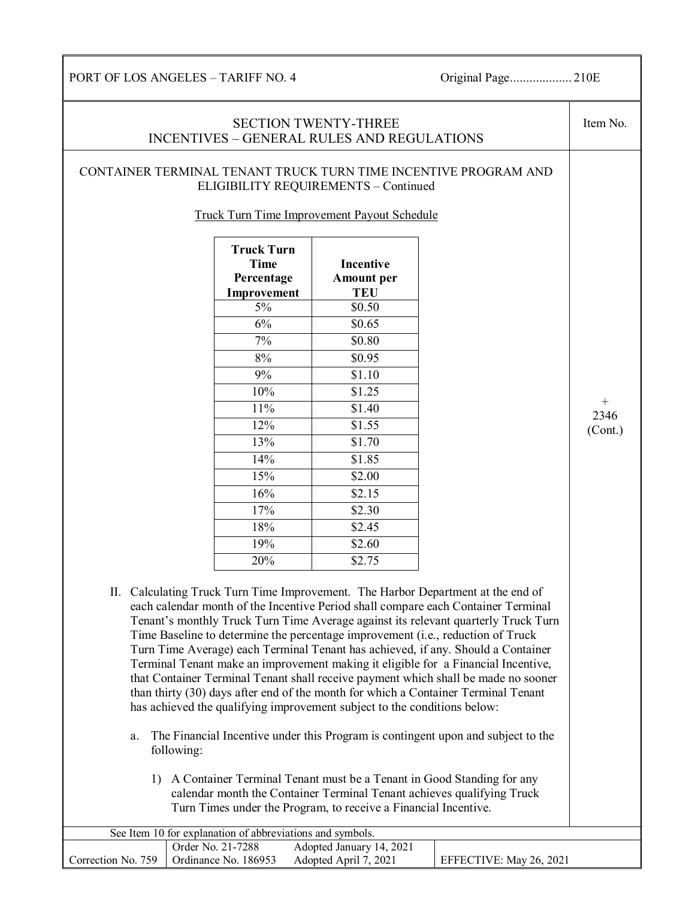PORT OF LOS ANGELES – TARIFF NO. 4 Original Page................... 210E

## SECTION TWENTY-THREE INCENTIVES – GENERAL RULES AND REGULATIONS Item No. CONTAINER TERMINAL TENANT TRUCK TURN TIME INCENTIVE PROGRAM AND ELIGIBILITY REQUIREMENTS – Continued Truck Turn Time Improvement Payout Schedule **Truck Turn Time Percentage Improvement Incentive Amount per TEU**  $5\%$  \$0.50 6% \$0.65 7% \$0.80 8% \$0.95 9% \$1.10 10% \$1.25 11% \$1.40 12% \$1.55 13% \$1.70 14%  $$1.85$  $15\%$   $$2.00$ 16% \$2.15  $17\%$  \$2.30 18% \$2.45 19% \$2.60 20% \$2.75 II. Calculating Truck Turn Time Improvement. The Harbor Department at the end of each calendar month of the Incentive Period shall compare each Container Terminal Tenant's monthly Truck Turn Time Average against its relevant quarterly Truck Turn Time Baseline to determine the percentage improvement (i.e., reduction of Truck Turn Time Average) each Terminal Tenant has achieved, if any. Should a Container Terminal Tenant make an improvement making it eligible for a Financial Incentive, that Container Terminal Tenant shall receive payment which shall be made no sooner than thirty (30) days after end of the month for which a Container Terminal Tenant has achieved the qualifying improvement subject to the conditions below: a. The Financial Incentive under this Program is contingent upon and subject to the following: 1) A Container Terminal Tenant must be a Tenant in Good Standing for any calendar month the Container Terminal Tenant achieves qualifying Truck Turn Times under the Program, to receive a Financial Incentive.  $+$ 2346 (Cont.) See Item 10 for explanation of abbreviations and symbols. Correction No. 759 Order No. 21-7288 Adopted January 14, 2021 Ordinance No. 186953 Adopted April 7, 2021 EFFECTIVE: May 26, 2021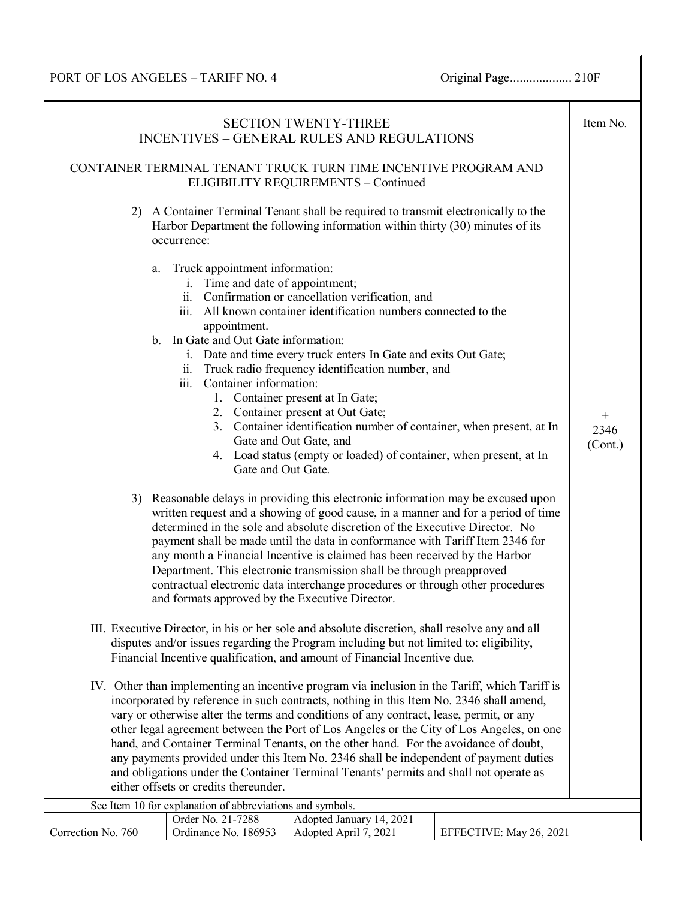PORT OF LOS ANGELES – TARIFF NO. 4 Original Page................... 210F

| <b>SECTION TWENTY-THREE</b><br><b>INCENTIVES - GENERAL RULES AND REGULATIONS</b>                                                                                                                                                                                                                                                                                                                                                                                                                                                                                                                                                                                                                    | Item No.                  |
|-----------------------------------------------------------------------------------------------------------------------------------------------------------------------------------------------------------------------------------------------------------------------------------------------------------------------------------------------------------------------------------------------------------------------------------------------------------------------------------------------------------------------------------------------------------------------------------------------------------------------------------------------------------------------------------------------------|---------------------------|
| CONTAINER TERMINAL TENANT TRUCK TURN TIME INCENTIVE PROGRAM AND<br>ELIGIBILITY REQUIREMENTS - Continued                                                                                                                                                                                                                                                                                                                                                                                                                                                                                                                                                                                             |                           |
| 2) A Container Terminal Tenant shall be required to transmit electronically to the<br>Harbor Department the following information within thirty (30) minutes of its<br>occurrence:                                                                                                                                                                                                                                                                                                                                                                                                                                                                                                                  |                           |
| Truck appointment information:<br>a.<br>i. Time and date of appointment;<br>ii. Confirmation or cancellation verification, and<br>iii. All known container identification numbers connected to the<br>appointment.<br>b. In Gate and Out Gate information:<br>i. Date and time every truck enters In Gate and exits Out Gate;<br>ii. Truck radio frequency identification number, and<br>iii. Container information:<br>1. Container present at In Gate;<br>2. Container present at Out Gate;<br>3. Container identification number of container, when present, at In<br>Gate and Out Gate, and<br>4. Load status (empty or loaded) of container, when present, at In<br>Gate and Out Gate.         | $^{+}$<br>2346<br>(Cont.) |
| 3) Reasonable delays in providing this electronic information may be excused upon<br>written request and a showing of good cause, in a manner and for a period of time<br>determined in the sole and absolute discretion of the Executive Director. No<br>payment shall be made until the data in conformance with Tariff Item 2346 for<br>any month a Financial Incentive is claimed has been received by the Harbor<br>Department. This electronic transmission shall be through preapproved<br>contractual electronic data interchange procedures or through other procedures<br>and formats approved by the Executive Director.                                                                 |                           |
| III. Executive Director, in his or her sole and absolute discretion, shall resolve any and all<br>disputes and/or issues regarding the Program including but not limited to: eligibility,<br>Financial Incentive qualification, and amount of Financial Incentive due.                                                                                                                                                                                                                                                                                                                                                                                                                              |                           |
| IV. Other than implementing an incentive program via inclusion in the Tariff, which Tariff is<br>incorporated by reference in such contracts, nothing in this Item No. 2346 shall amend,<br>vary or otherwise alter the terms and conditions of any contract, lease, permit, or any<br>other legal agreement between the Port of Los Angeles or the City of Los Angeles, on one<br>hand, and Container Terminal Tenants, on the other hand. For the avoidance of doubt,<br>any payments provided under this Item No. 2346 shall be independent of payment duties<br>and obligations under the Container Terminal Tenants' permits and shall not operate as<br>either offsets or credits thereunder. |                           |
| See Item 10 for explanation of abbreviations and symbols.<br>Adopted January 14, 2021<br>Order No. 21-7288                                                                                                                                                                                                                                                                                                                                                                                                                                                                                                                                                                                          |                           |
| Correction No. 760<br>Ordinance No. 186953<br>Adopted April 7, 2021<br>EFFECTIVE: May 26, 2021                                                                                                                                                                                                                                                                                                                                                                                                                                                                                                                                                                                                      |                           |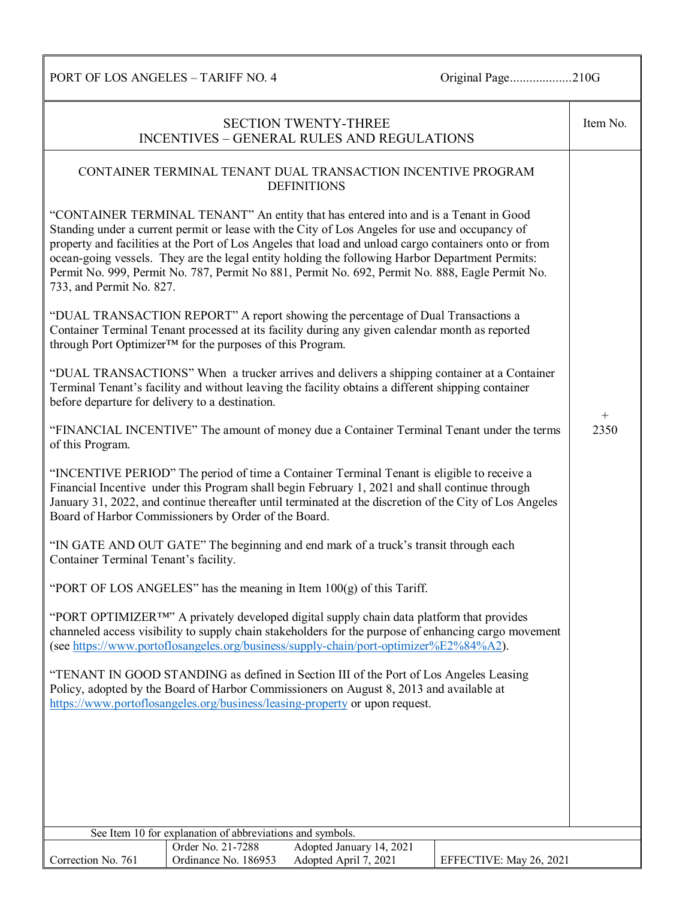PORT OF LOS ANGELES – TARIFF NO. 4 Original Page.........................210G

|                                                                                                                                                                                                                                                                                                                                                                 |                                                           | <b>SECTION TWENTY-THREE</b><br>INCENTIVES - GENERAL RULES AND REGULATIONS                                                                                                                                                                                                                                                                                                                                                                                                                            |                         | Item No. |
|-----------------------------------------------------------------------------------------------------------------------------------------------------------------------------------------------------------------------------------------------------------------------------------------------------------------------------------------------------------------|-----------------------------------------------------------|------------------------------------------------------------------------------------------------------------------------------------------------------------------------------------------------------------------------------------------------------------------------------------------------------------------------------------------------------------------------------------------------------------------------------------------------------------------------------------------------------|-------------------------|----------|
|                                                                                                                                                                                                                                                                                                                                                                 |                                                           | CONTAINER TERMINAL TENANT DUAL TRANSACTION INCENTIVE PROGRAM<br><b>DEFINITIONS</b>                                                                                                                                                                                                                                                                                                                                                                                                                   |                         |          |
| 733, and Permit No. 827.                                                                                                                                                                                                                                                                                                                                        |                                                           | "CONTAINER TERMINAL TENANT" An entity that has entered into and is a Tenant in Good<br>Standing under a current permit or lease with the City of Los Angeles for use and occupancy of<br>property and facilities at the Port of Los Angeles that load and unload cargo containers onto or from<br>ocean-going vessels. They are the legal entity holding the following Harbor Department Permits:<br>Permit No. 999, Permit No. 787, Permit No 881, Permit No. 692, Permit No. 888, Eagle Permit No. |                         |          |
|                                                                                                                                                                                                                                                                                                                                                                 | through Port Optimizer™ for the purposes of this Program. | "DUAL TRANSACTION REPORT" A report showing the percentage of Dual Transactions a<br>Container Terminal Tenant processed at its facility during any given calendar month as reported                                                                                                                                                                                                                                                                                                                  |                         |          |
| before departure for delivery to a destination.                                                                                                                                                                                                                                                                                                                 |                                                           | "DUAL TRANSACTIONS" When a trucker arrives and delivers a shipping container at a Container<br>Terminal Tenant's facility and without leaving the facility obtains a different shipping container                                                                                                                                                                                                                                                                                                    |                         | $^{+}$   |
| "FINANCIAL INCENTIVE" The amount of money due a Container Terminal Tenant under the terms<br>of this Program.                                                                                                                                                                                                                                                   |                                                           |                                                                                                                                                                                                                                                                                                                                                                                                                                                                                                      |                         | 2350     |
| "INCENTIVE PERIOD" The period of time a Container Terminal Tenant is eligible to receive a<br>Financial Incentive under this Program shall begin February 1, 2021 and shall continue through<br>January 31, 2022, and continue thereafter until terminated at the discretion of the City of Los Angeles<br>Board of Harbor Commissioners by Order of the Board. |                                                           |                                                                                                                                                                                                                                                                                                                                                                                                                                                                                                      |                         |          |
| "IN GATE AND OUT GATE" The beginning and end mark of a truck's transit through each<br>Container Terminal Tenant's facility.                                                                                                                                                                                                                                    |                                                           |                                                                                                                                                                                                                                                                                                                                                                                                                                                                                                      |                         |          |
| "PORT OF LOS ANGELES" has the meaning in Item $100(g)$ of this Tariff.                                                                                                                                                                                                                                                                                          |                                                           |                                                                                                                                                                                                                                                                                                                                                                                                                                                                                                      |                         |          |
| "PORT OPTIMIZER <sup>TM</sup> " A privately developed digital supply chain data platform that provides<br>channeled access visibility to supply chain stakeholders for the purpose of enhancing cargo movement<br>(see https://www.portoflosangeles.org/business/supply-chain/port-optimizer%E2%84%A2).                                                         |                                                           |                                                                                                                                                                                                                                                                                                                                                                                                                                                                                                      |                         |          |
|                                                                                                                                                                                                                                                                                                                                                                 |                                                           | "TENANT IN GOOD STANDING as defined in Section III of the Port of Los Angeles Leasing<br>Policy, adopted by the Board of Harbor Commissioners on August 8, 2013 and available at<br>https://www.portoflosangeles.org/business/leasing-property or upon request.                                                                                                                                                                                                                                      |                         |          |
|                                                                                                                                                                                                                                                                                                                                                                 |                                                           |                                                                                                                                                                                                                                                                                                                                                                                                                                                                                                      |                         |          |
|                                                                                                                                                                                                                                                                                                                                                                 |                                                           |                                                                                                                                                                                                                                                                                                                                                                                                                                                                                                      |                         |          |
|                                                                                                                                                                                                                                                                                                                                                                 |                                                           |                                                                                                                                                                                                                                                                                                                                                                                                                                                                                                      |                         |          |
|                                                                                                                                                                                                                                                                                                                                                                 | See Item 10 for explanation of abbreviations and symbols. |                                                                                                                                                                                                                                                                                                                                                                                                                                                                                                      |                         |          |
| Correction No. 761                                                                                                                                                                                                                                                                                                                                              | Order No. 21-7288<br>Ordinance No. 186953                 | Adopted January 14, 2021<br>Adopted April 7, 2021                                                                                                                                                                                                                                                                                                                                                                                                                                                    | EFFECTIVE: May 26, 2021 |          |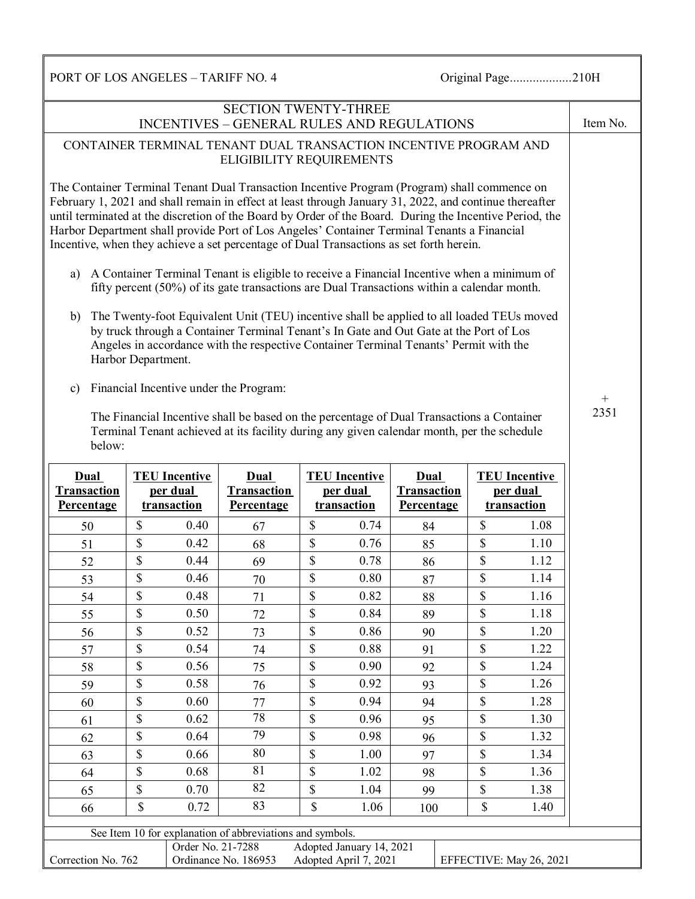PORT OF LOS ANGELES – TARIFF NO. 4 Original Page.......................210H

| <b>SECTION TWENTY-THREE</b><br><b>INCENTIVES - GENERAL RULES AND REGULATIONS</b>                                                                                                                                                                                                                                                                                                                                                                                                                            |                    |                                  |                                                                                                                                                                                                                                                                              |                                                                                                    |             | Item No.   |              |             |             |
|-------------------------------------------------------------------------------------------------------------------------------------------------------------------------------------------------------------------------------------------------------------------------------------------------------------------------------------------------------------------------------------------------------------------------------------------------------------------------------------------------------------|--------------------|----------------------------------|------------------------------------------------------------------------------------------------------------------------------------------------------------------------------------------------------------------------------------------------------------------------------|----------------------------------------------------------------------------------------------------|-------------|------------|--------------|-------------|-------------|
| CONTAINER TERMINAL TENANT DUAL TRANSACTION INCENTIVE PROGRAM AND<br><b>ELIGIBILITY REQUIREMENTS</b>                                                                                                                                                                                                                                                                                                                                                                                                         |                    |                                  |                                                                                                                                                                                                                                                                              |                                                                                                    |             |            |              |             |             |
| The Container Terminal Tenant Dual Transaction Incentive Program (Program) shall commence on<br>February 1, 2021 and shall remain in effect at least through January 31, 2022, and continue thereafter<br>until terminated at the discretion of the Board by Order of the Board. During the Incentive Period, the<br>Harbor Department shall provide Port of Los Angeles' Container Terminal Tenants a Financial<br>Incentive, when they achieve a set percentage of Dual Transactions as set forth herein. |                    |                                  |                                                                                                                                                                                                                                                                              |                                                                                                    |             |            |              |             |             |
| a)                                                                                                                                                                                                                                                                                                                                                                                                                                                                                                          |                    |                                  | A Container Terminal Tenant is eligible to receive a Financial Incentive when a minimum of<br>fifty percent (50%) of its gate transactions are Dual Transactions within a calendar month.                                                                                    |                                                                                                    |             |            |              |             |             |
| b)                                                                                                                                                                                                                                                                                                                                                                                                                                                                                                          | Harbor Department. |                                  | The Twenty-foot Equivalent Unit (TEU) incentive shall be applied to all loaded TEUs moved<br>by truck through a Container Terminal Tenant's In Gate and Out Gate at the Port of Los<br>Angeles in accordance with the respective Container Terminal Tenants' Permit with the |                                                                                                    |             |            |              |             |             |
| $\mathbf{c})$                                                                                                                                                                                                                                                                                                                                                                                                                                                                                               |                    |                                  | Financial Incentive under the Program:                                                                                                                                                                                                                                       |                                                                                                    |             |            |              |             | $+$<br>2351 |
| below:                                                                                                                                                                                                                                                                                                                                                                                                                                                                                                      |                    |                                  | The Financial Incentive shall be based on the percentage of Dual Transactions a Container<br>Terminal Tenant achieved at its facility during any given calendar month, per the schedule                                                                                      |                                                                                                    |             |            |              |             |             |
| Dual<br><b>Transaction</b>                                                                                                                                                                                                                                                                                                                                                                                                                                                                                  |                    | <b>TEU</b> Incentive<br>per dual | <b>Dual</b><br>Transaction                                                                                                                                                                                                                                                   | <b>TEU Incentive</b><br>Dual<br><b>TEU</b> Incentive<br>per dual<br><b>Transaction</b><br>per dual |             |            |              |             |             |
| <b>Percentage</b>                                                                                                                                                                                                                                                                                                                                                                                                                                                                                           |                    | transaction                      | <b>Percentage</b>                                                                                                                                                                                                                                                            |                                                                                                    | transaction | Percentage |              | transaction |             |
| 50                                                                                                                                                                                                                                                                                                                                                                                                                                                                                                          | \$                 | 0.40                             | 67                                                                                                                                                                                                                                                                           | \$                                                                                                 | 0.74        | 84         | \$           | 1.08        |             |
| 51                                                                                                                                                                                                                                                                                                                                                                                                                                                                                                          | \$                 | 0.42                             | 68                                                                                                                                                                                                                                                                           | \$                                                                                                 | 0.76        | 85         | \$           | 1.10        |             |
| 52                                                                                                                                                                                                                                                                                                                                                                                                                                                                                                          | \$                 | 0.44                             | 69                                                                                                                                                                                                                                                                           | \$                                                                                                 | 0.78        | 86         | \$           | 1.12        |             |
| 53                                                                                                                                                                                                                                                                                                                                                                                                                                                                                                          | \$                 | 0.46                             | 70                                                                                                                                                                                                                                                                           | \$                                                                                                 | 0.80        | 87         | \$           | 1.14        |             |
| 54                                                                                                                                                                                                                                                                                                                                                                                                                                                                                                          | \$                 | 0.48                             | 71                                                                                                                                                                                                                                                                           | \$                                                                                                 | 0.82        | 88         | $\mathbf S$  | 1.16        |             |
| 55                                                                                                                                                                                                                                                                                                                                                                                                                                                                                                          | \$                 | 0.50                             | 72                                                                                                                                                                                                                                                                           | \$                                                                                                 | 0.84        | 89         | \$           | 1.18        |             |
| 56                                                                                                                                                                                                                                                                                                                                                                                                                                                                                                          | \$                 | 0.52                             | 73                                                                                                                                                                                                                                                                           | \$                                                                                                 | 0.86        | 90         | \$           | 1.20        |             |
| 57                                                                                                                                                                                                                                                                                                                                                                                                                                                                                                          | \$                 | 0.54                             | 74                                                                                                                                                                                                                                                                           | \$                                                                                                 | 0.88        | 91         | \$           | 1.22        |             |
| 58                                                                                                                                                                                                                                                                                                                                                                                                                                                                                                          | \$                 | 0.56                             | 75                                                                                                                                                                                                                                                                           | \$                                                                                                 | 0.90        | 92         | \$           | 1.24        |             |
| 59                                                                                                                                                                                                                                                                                                                                                                                                                                                                                                          | \$                 | 0.58                             | 76                                                                                                                                                                                                                                                                           | \$                                                                                                 | 0.92        | 93         | \$           | 1.26        |             |
| 60                                                                                                                                                                                                                                                                                                                                                                                                                                                                                                          | \$                 | 0.60                             | 77                                                                                                                                                                                                                                                                           | \$                                                                                                 | 0.94        | 94         | $\mathbb{S}$ | 1.28        |             |
| 61                                                                                                                                                                                                                                                                                                                                                                                                                                                                                                          | \$                 | 0.62                             | 78                                                                                                                                                                                                                                                                           | \$                                                                                                 | 0.96        | 95         | \$           | 1.30        |             |
| 62                                                                                                                                                                                                                                                                                                                                                                                                                                                                                                          | \$                 | 0.64                             | 79                                                                                                                                                                                                                                                                           | \$                                                                                                 | 0.98        | 96         | \$           | 1.32        |             |
| 63                                                                                                                                                                                                                                                                                                                                                                                                                                                                                                          | \$                 | 0.66                             | 80                                                                                                                                                                                                                                                                           | \$                                                                                                 | 1.00        | 97         | \$           | 1.34        |             |
| 64                                                                                                                                                                                                                                                                                                                                                                                                                                                                                                          | \$                 | 0.68                             | 81                                                                                                                                                                                                                                                                           | \$                                                                                                 | 1.02        | 98         | \$           | 1.36        |             |
| 65                                                                                                                                                                                                                                                                                                                                                                                                                                                                                                          | \$                 | 0.70                             | 82                                                                                                                                                                                                                                                                           | \$                                                                                                 | 1.04        | 99         | \$           | 1.38        |             |
| 66                                                                                                                                                                                                                                                                                                                                                                                                                                                                                                          | $\mathbf S$        | 0.72                             | 83                                                                                                                                                                                                                                                                           | \$                                                                                                 | 1.06        | 100        | $\mathbb{S}$ | 1.40        |             |
|                                                                                                                                                                                                                                                                                                                                                                                                                                                                                                             |                    |                                  | See Item 10 for explanation of abbreviations and symbols.                                                                                                                                                                                                                    |                                                                                                    |             |            |              |             |             |
| Order No. 21-7288<br>Adopted January 14, 2021<br>Ordinance No. 186953<br>Correction No. 762<br>Adopted April 7, 2021<br>EFFECTIVE: May 26, 2021                                                                                                                                                                                                                                                                                                                                                             |                    |                                  |                                                                                                                                                                                                                                                                              |                                                                                                    |             |            |              |             |             |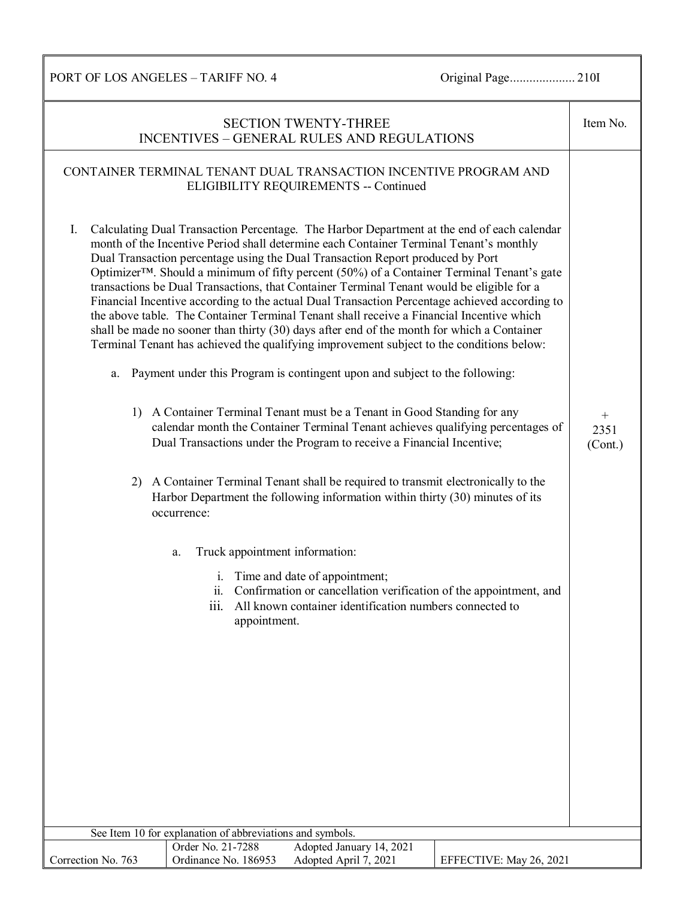PORT OF LOS ANGELES – TARIFF NO. 4 Original Page.................... 210I

| <b>SECTION TWENTY-THREE</b><br><b>INCENTIVES - GENERAL RULES AND REGULATIONS</b> |                                                                                                                                                                                                                                                                                                                                                                                                                                                                                                                                                                                                                                                                                                                                                                                                                                                                                                                                                                                                                                                                                                                                                                                                                                                                                                                                                                                                                                                                                                                                                                                                                                       |                                                     |  |  |
|----------------------------------------------------------------------------------|---------------------------------------------------------------------------------------------------------------------------------------------------------------------------------------------------------------------------------------------------------------------------------------------------------------------------------------------------------------------------------------------------------------------------------------------------------------------------------------------------------------------------------------------------------------------------------------------------------------------------------------------------------------------------------------------------------------------------------------------------------------------------------------------------------------------------------------------------------------------------------------------------------------------------------------------------------------------------------------------------------------------------------------------------------------------------------------------------------------------------------------------------------------------------------------------------------------------------------------------------------------------------------------------------------------------------------------------------------------------------------------------------------------------------------------------------------------------------------------------------------------------------------------------------------------------------------------------------------------------------------------|-----------------------------------------------------|--|--|
|                                                                                  | CONTAINER TERMINAL TENANT DUAL TRANSACTION INCENTIVE PROGRAM AND<br>ELIGIBILITY REQUIREMENTS -- Continued                                                                                                                                                                                                                                                                                                                                                                                                                                                                                                                                                                                                                                                                                                                                                                                                                                                                                                                                                                                                                                                                                                                                                                                                                                                                                                                                                                                                                                                                                                                             |                                                     |  |  |
| I.<br>a.                                                                         | Calculating Dual Transaction Percentage. The Harbor Department at the end of each calendar<br>month of the Incentive Period shall determine each Container Terminal Tenant's monthly<br>Dual Transaction percentage using the Dual Transaction Report produced by Port<br>Optimizer <sup>™</sup> . Should a minimum of fifty percent (50%) of a Container Terminal Tenant's gate<br>transactions be Dual Transactions, that Container Terminal Tenant would be eligible for a<br>Financial Incentive according to the actual Dual Transaction Percentage achieved according to<br>the above table. The Container Terminal Tenant shall receive a Financial Incentive which<br>shall be made no sooner than thirty (30) days after end of the month for which a Container<br>Terminal Tenant has achieved the qualifying improvement subject to the conditions below:<br>Payment under this Program is contingent upon and subject to the following:<br>1) A Container Terminal Tenant must be a Tenant in Good Standing for any<br>calendar month the Container Terminal Tenant achieves qualifying percentages of<br>Dual Transactions under the Program to receive a Financial Incentive;<br>2) A Container Terminal Tenant shall be required to transmit electronically to the<br>Harbor Department the following information within thirty (30) minutes of its<br>occurrence:<br>Truck appointment information:<br>a.<br>Time and date of appointment;<br>$\mathbf{i}$ .<br>ii. Confirmation or cancellation verification of the appointment, and<br>iii. All known container identification numbers connected to<br>appointment. | $\begin{array}{c} + \end{array}$<br>2351<br>(Cont.) |  |  |
|                                                                                  | See Item 10 for explanation of abbreviations and symbols.                                                                                                                                                                                                                                                                                                                                                                                                                                                                                                                                                                                                                                                                                                                                                                                                                                                                                                                                                                                                                                                                                                                                                                                                                                                                                                                                                                                                                                                                                                                                                                             |                                                     |  |  |
| Correction No. 763                                                               | Adopted January 14, 2021<br>Order No. 21-7288<br>Ordinance No. 186953<br>Adopted April 7, 2021<br>EFFECTIVE: May 26, 2021                                                                                                                                                                                                                                                                                                                                                                                                                                                                                                                                                                                                                                                                                                                                                                                                                                                                                                                                                                                                                                                                                                                                                                                                                                                                                                                                                                                                                                                                                                             |                                                     |  |  |